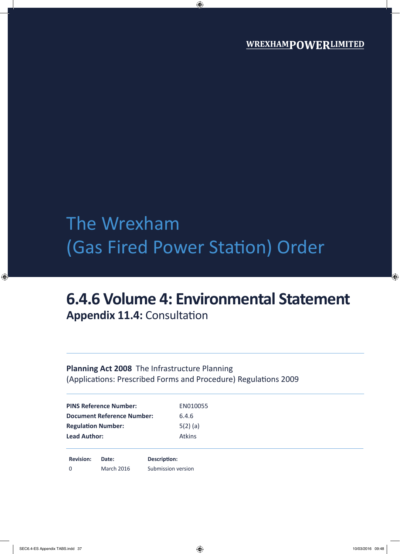# The Wrexham (Gas Fired Power Station) Order

## **6.4.6 Volume 4: Environmental Statement Appendix 11.4:** Consultation

## **Planning Act 2008** The Infrastructure Planning (Applications: Prescribed Forms and Procedure) Regulations 2009

| <b>PINS Reference Number:</b>     | EN010055      |
|-----------------------------------|---------------|
| <b>Document Reference Number:</b> | 6.4.6         |
| <b>Regulation Number:</b>         | $5(2)$ (a)    |
| <b>Lead Author:</b>               | <b>Atkins</b> |

**Revision: Date: Description:** 0 March 2016 Submission version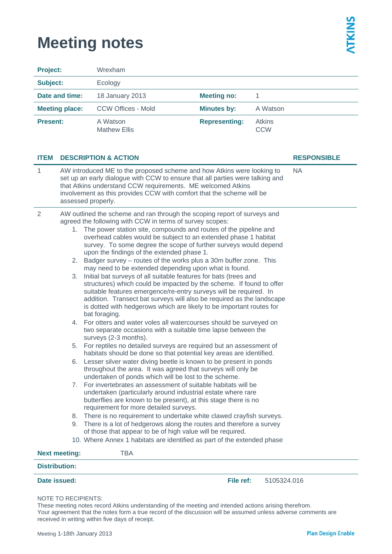## **Meeting notes**

| <b>Project:</b> |                                                                                                                                                                                                                                                                                                                       | Wrexham                                                                                                                                                                                                                                                                                                                                                                                                                                                                                                                                                                                                                                                                                                                                                                                                                                                                                                                                                                                                                                                                                                                                                                                                                                                                                                                                                                                                                                                                                                                                                                                                                                                                                                                                                                                                                                                                                                                                                                                           |                      |                             |                    |  |  |
|-----------------|-----------------------------------------------------------------------------------------------------------------------------------------------------------------------------------------------------------------------------------------------------------------------------------------------------------------------|---------------------------------------------------------------------------------------------------------------------------------------------------------------------------------------------------------------------------------------------------------------------------------------------------------------------------------------------------------------------------------------------------------------------------------------------------------------------------------------------------------------------------------------------------------------------------------------------------------------------------------------------------------------------------------------------------------------------------------------------------------------------------------------------------------------------------------------------------------------------------------------------------------------------------------------------------------------------------------------------------------------------------------------------------------------------------------------------------------------------------------------------------------------------------------------------------------------------------------------------------------------------------------------------------------------------------------------------------------------------------------------------------------------------------------------------------------------------------------------------------------------------------------------------------------------------------------------------------------------------------------------------------------------------------------------------------------------------------------------------------------------------------------------------------------------------------------------------------------------------------------------------------------------------------------------------------------------------------------------------------|----------------------|-----------------------------|--------------------|--|--|
| Subject:        |                                                                                                                                                                                                                                                                                                                       | Ecology                                                                                                                                                                                                                                                                                                                                                                                                                                                                                                                                                                                                                                                                                                                                                                                                                                                                                                                                                                                                                                                                                                                                                                                                                                                                                                                                                                                                                                                                                                                                                                                                                                                                                                                                                                                                                                                                                                                                                                                           |                      |                             |                    |  |  |
| Date and time:  |                                                                                                                                                                                                                                                                                                                       | 18 January 2013                                                                                                                                                                                                                                                                                                                                                                                                                                                                                                                                                                                                                                                                                                                                                                                                                                                                                                                                                                                                                                                                                                                                                                                                                                                                                                                                                                                                                                                                                                                                                                                                                                                                                                                                                                                                                                                                                                                                                                                   | <b>Meeting no:</b>   | 1                           |                    |  |  |
|                 | <b>Meeting place:</b>                                                                                                                                                                                                                                                                                                 | <b>CCW Offices - Mold</b>                                                                                                                                                                                                                                                                                                                                                                                                                                                                                                                                                                                                                                                                                                                                                                                                                                                                                                                                                                                                                                                                                                                                                                                                                                                                                                                                                                                                                                                                                                                                                                                                                                                                                                                                                                                                                                                                                                                                                                         | <b>Minutes by:</b>   | A Watson                    |                    |  |  |
| <b>Present:</b> |                                                                                                                                                                                                                                                                                                                       | A Watson<br><b>Mathew Ellis</b>                                                                                                                                                                                                                                                                                                                                                                                                                                                                                                                                                                                                                                                                                                                                                                                                                                                                                                                                                                                                                                                                                                                                                                                                                                                                                                                                                                                                                                                                                                                                                                                                                                                                                                                                                                                                                                                                                                                                                                   | <b>Representing:</b> | <b>Atkins</b><br><b>CCW</b> |                    |  |  |
| <b>ITEM</b>     |                                                                                                                                                                                                                                                                                                                       | <b>DESCRIPTION &amp; ACTION</b>                                                                                                                                                                                                                                                                                                                                                                                                                                                                                                                                                                                                                                                                                                                                                                                                                                                                                                                                                                                                                                                                                                                                                                                                                                                                                                                                                                                                                                                                                                                                                                                                                                                                                                                                                                                                                                                                                                                                                                   |                      |                             | <b>RESPONSIBLE</b> |  |  |
| 1               | AW introduced ME to the proposed scheme and how Atkins were looking to<br>set up an early dialogue with CCW to ensure that all parties were talking and<br>that Atkins understand CCW requirements. ME welcomed Atkins<br>involvement as this provides CCW with comfort that the scheme will be<br>assessed properly. |                                                                                                                                                                                                                                                                                                                                                                                                                                                                                                                                                                                                                                                                                                                                                                                                                                                                                                                                                                                                                                                                                                                                                                                                                                                                                                                                                                                                                                                                                                                                                                                                                                                                                                                                                                                                                                                                                                                                                                                                   |                      |                             | <b>NA</b>          |  |  |
| $\overline{2}$  | 3.<br><b>Next meeting:</b>                                                                                                                                                                                                                                                                                            | AW outlined the scheme and ran through the scoping report of surveys and<br>agreed the following with CCW in terms of survey scopes:<br>1. The power station site, compounds and routes of the pipeline and<br>overhead cables would be subject to an extended phase 1 habitat<br>survey. To some degree the scope of further surveys would depend<br>upon the findings of the extended phase 1.<br>2. Badger survey - routes of the works plus a 30m buffer zone. This<br>may need to be extended depending upon what is found.<br>Initial bat surveys of all suitable features for bats (trees and<br>structures) which could be impacted by the scheme. If found to offer<br>suitable features emergence/re-entry surveys will be required. In<br>addition. Transect bat surveys will also be required as the landscape<br>is dotted with hedgerows which are likely to be important routes for<br>bat foraging.<br>4. For otters and water voles all watercourses should be surveyed on<br>two separate occasions with a suitable time lapse between the<br>surveys (2-3 months).<br>5. For reptiles no detailed surveys are required but an assessment of<br>habitats should be done so that potential key areas are identified.<br>6. Lesser silver water diving beetle is known to be present in ponds<br>throughout the area. It was agreed that surveys will only be<br>undertaken of ponds which will be lost to the scheme.<br>7. For invertebrates an assessment of suitable habitats will be<br>undertaken (particularly around industrial estate where rare<br>butterflies are known to be present), at this stage there is no<br>requirement for more detailed surveys.<br>8. There is no requirement to undertake white clawed crayfish surveys.<br>9. There is a lot of hedgerows along the routes and therefore a survey<br>of those that appear to be of high value will be required.<br>10. Where Annex 1 habitats are identified as part of the extended phase<br><b>TBA</b> |                      |                             |                    |  |  |
|                 | <b>Distribution:</b>                                                                                                                                                                                                                                                                                                  |                                                                                                                                                                                                                                                                                                                                                                                                                                                                                                                                                                                                                                                                                                                                                                                                                                                                                                                                                                                                                                                                                                                                                                                                                                                                                                                                                                                                                                                                                                                                                                                                                                                                                                                                                                                                                                                                                                                                                                                                   |                      |                             |                    |  |  |
|                 | Date issued:                                                                                                                                                                                                                                                                                                          |                                                                                                                                                                                                                                                                                                                                                                                                                                                                                                                                                                                                                                                                                                                                                                                                                                                                                                                                                                                                                                                                                                                                                                                                                                                                                                                                                                                                                                                                                                                                                                                                                                                                                                                                                                                                                                                                                                                                                                                                   | File ref:            | 5105324.016                 |                    |  |  |

#### NOTE TO RECIPIENTS:

These meeting notes record Atkins understanding of the meeting and intended actions arising therefrom. Your agreement that the notes form a true record of the discussion will be assumed unless adverse comments are received in writing within five days of receipt.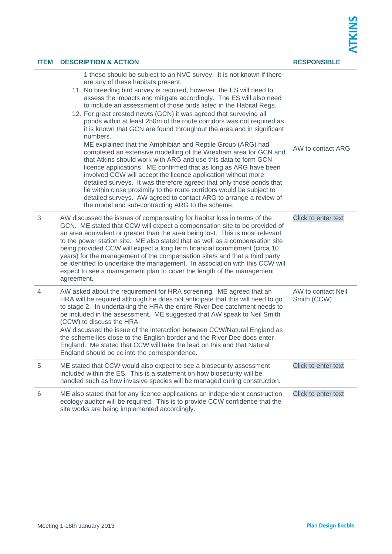| <b>ITEM</b> | <b>DESCRIPTION &amp; ACTION</b>                                                                                                                                                                                                                                                                                                                                                                                                                                                                                                                                                                                                                            | <b>RESPONSIBLE</b>                |
|-------------|------------------------------------------------------------------------------------------------------------------------------------------------------------------------------------------------------------------------------------------------------------------------------------------------------------------------------------------------------------------------------------------------------------------------------------------------------------------------------------------------------------------------------------------------------------------------------------------------------------------------------------------------------------|-----------------------------------|
|             | 1 these should be subject to an NVC survey. It is not known if there<br>are any of these habitats present.<br>11. No breeding bird survey is required, however, the ES will need to<br>assess the impacts and mitigate accordingly. The ES will also need<br>to include an assessment of those birds listed in the Habitat Regs.<br>12. For great crested newts (GCN) it was agreed that surveying all<br>ponds within at least 250m of the route corridors was not required as<br>it is known that GCN are found throughout the area and in significant<br>numbers.                                                                                       |                                   |
|             | ME explained that the Amphibian and Reptile Group (ARG) had<br>completed an extensive modelling of the Wrexham area for GCN and<br>that Atkins should work with ARG and use this data to form GCN<br>licence applications. ME confirmed that as long as ARG have been<br>involved CCW will accept the licence application without more<br>detailed surveys. It was therefore agreed that only those ponds that<br>lie within close proximity to the route corridors would be subject to<br>detailed surveys. AW agreed to contact ARG to arrange a review of<br>the model and sub-contracting ARG to the scheme.                                           | AW to contact ARG                 |
| 3           | AW discussed the issues of compensating for habitat loss in terms of the<br>GCN. ME stated that CCW will expect a compensation site to be provided of<br>an area equivalent or greater than the area being lost. This is most relevant<br>to the power station site. ME also stated that as well as a compensation site<br>being provided CCW will expect a long term financial commitment (circa 10<br>years) for the management of the compensation site/s and that a third party<br>be identified to undertake the management. In association with this CCW will<br>expect to see a management plan to cover the length of the management<br>agreement. | Click to enter text               |
| 4           | AW asked about the requirement for HRA screening. ME agreed that an<br>HRA will be required although he does not anticipate that this will need to go<br>to stage 2. In undertaking the HRA the entire River Dee catchment needs to<br>be included in the assessment. ME suggested that AW speak to Neil Smith<br>(CCW) to discuss the HRA.<br>AW discussed the issue of the interaction between CCW/Natural England as<br>the scheme lies close to the English border and the River Dee does enter<br>England. Me stated that CCW will take the lead on this and that Natural<br>England should be cc into the correspondence.                            | AW to contact Neil<br>Smith (CCW) |
| $\sqrt{5}$  | ME stated that CCW would also expect to see a biosecurity assessment<br>included within the ES. This is a statement on how biosecurity will be<br>handled such as how invasive species will be managed during construction.                                                                                                                                                                                                                                                                                                                                                                                                                                | Click to enter text               |
| 6           | ME also stated that for any licence applications an independent construction<br>ecology auditor will be required. This is to provide CCW confidence that the<br>site works are being implemented accordingly.                                                                                                                                                                                                                                                                                                                                                                                                                                              | Click to enter text               |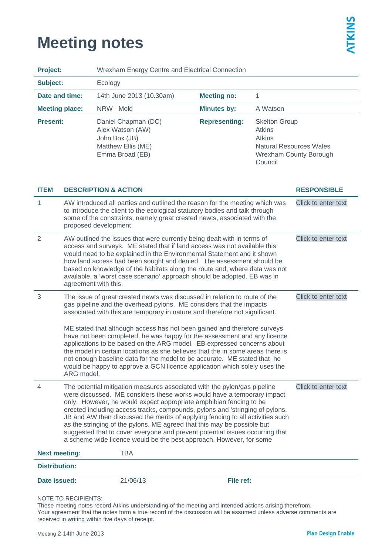## **Meeting notes**

| <b>Project:</b>       | Wrexham Energy Centre and Electrical Connection                                                                                                                                                                                                                                                                                                                                                                                                                                                                                                                                                                              |                                                                                                                                                                                                                                                                                                                                                                                                                                                                                                                                                                                                                                                                                                                                                    |                      |                                                                   |                                                                 |  |
|-----------------------|------------------------------------------------------------------------------------------------------------------------------------------------------------------------------------------------------------------------------------------------------------------------------------------------------------------------------------------------------------------------------------------------------------------------------------------------------------------------------------------------------------------------------------------------------------------------------------------------------------------------------|----------------------------------------------------------------------------------------------------------------------------------------------------------------------------------------------------------------------------------------------------------------------------------------------------------------------------------------------------------------------------------------------------------------------------------------------------------------------------------------------------------------------------------------------------------------------------------------------------------------------------------------------------------------------------------------------------------------------------------------------------|----------------------|-------------------------------------------------------------------|-----------------------------------------------------------------|--|
| Subject:              |                                                                                                                                                                                                                                                                                                                                                                                                                                                                                                                                                                                                                              | Ecology                                                                                                                                                                                                                                                                                                                                                                                                                                                                                                                                                                                                                                                                                                                                            |                      |                                                                   |                                                                 |  |
| Date and time:        |                                                                                                                                                                                                                                                                                                                                                                                                                                                                                                                                                                                                                              | 14th June 2013 (10.30am)                                                                                                                                                                                                                                                                                                                                                                                                                                                                                                                                                                                                                                                                                                                           | <b>Meeting no:</b>   | 1                                                                 |                                                                 |  |
| <b>Meeting place:</b> |                                                                                                                                                                                                                                                                                                                                                                                                                                                                                                                                                                                                                              | NRW - Mold                                                                                                                                                                                                                                                                                                                                                                                                                                                                                                                                                                                                                                                                                                                                         | <b>Minutes by:</b>   | A Watson                                                          |                                                                 |  |
| <b>Present:</b>       |                                                                                                                                                                                                                                                                                                                                                                                                                                                                                                                                                                                                                              | Daniel Chapman (DC)<br>Alex Watson (AW)<br>John Box (JB)<br>Matthew Ellis (ME)<br>Emma Broad (EB)                                                                                                                                                                                                                                                                                                                                                                                                                                                                                                                                                                                                                                                  | <b>Representing:</b> | <b>Skelton Group</b><br><b>Atkins</b><br><b>Atkins</b><br>Council | <b>Natural Resources Wales</b><br><b>Wrexham County Borough</b> |  |
| <b>ITEM</b>           |                                                                                                                                                                                                                                                                                                                                                                                                                                                                                                                                                                                                                              | <b>DESCRIPTION &amp; ACTION</b>                                                                                                                                                                                                                                                                                                                                                                                                                                                                                                                                                                                                                                                                                                                    |                      |                                                                   | <b>RESPONSIBLE</b>                                              |  |
| 1                     |                                                                                                                                                                                                                                                                                                                                                                                                                                                                                                                                                                                                                              | AW introduced all parties and outlined the reason for the meeting which was<br>Click to enter text<br>to introduce the client to the ecological statutory bodies and talk through<br>some of the constraints, namely great crested newts, associated with the<br>proposed development.                                                                                                                                                                                                                                                                                                                                                                                                                                                             |                      |                                                                   |                                                                 |  |
| $\overline{2}$        | AW outlined the issues that were currently being dealt with in terms of<br>access and surveys. ME stated that if land access was not available this<br>would need to be explained in the Environmental Statement and it shown<br>how land access had been sought and denied. The assessment should be<br>based on knowledge of the habitats along the route and, where data was not<br>available, a 'worst case scenario' approach should be adopted. EB was in<br>agreement with this.                                                                                                                                      |                                                                                                                                                                                                                                                                                                                                                                                                                                                                                                                                                                                                                                                                                                                                                    |                      |                                                                   | Click to enter text                                             |  |
| 3                     |                                                                                                                                                                                                                                                                                                                                                                                                                                                                                                                                                                                                                              | Click to enter text<br>The issue of great crested newts was discussed in relation to route of the<br>gas pipeline and the overhead pylons. ME considers that the impacts<br>associated with this are temporary in nature and therefore not significant.<br>ME stated that although access has not been gained and therefore surveys<br>have not been completed, he was happy for the assessment and any licence<br>applications to be based on the ARG model. EB expressed concerns about<br>the model in certain locations as she believes that the in some areas there is<br>not enough baseline data for the model to be accurate. ME stated that he<br>would be happy to approve a GCN licence application which solely uses the<br>ARG model. |                      |                                                                   |                                                                 |  |
| 4                     | The potential mitigation measures associated with the pylon/gas pipeline<br>were discussed. ME considers these works would have a temporary impact<br>only. However, he would expect appropriate amphibian fencing to be<br>erected including access tracks, compounds, pylons and 'stringing of pylons.<br>JB and AW then discussed the merits of applying fencing to all activities such<br>as the stringing of the pylons. ME agreed that this may be possible but<br>suggested that to cover everyone and prevent potential issues occurring that<br>a scheme wide licence would be the best approach. However, for some |                                                                                                                                                                                                                                                                                                                                                                                                                                                                                                                                                                                                                                                                                                                                                    |                      |                                                                   | Click to enter text                                             |  |
| <b>Next meeting:</b>  |                                                                                                                                                                                                                                                                                                                                                                                                                                                                                                                                                                                                                              | <b>TBA</b>                                                                                                                                                                                                                                                                                                                                                                                                                                                                                                                                                                                                                                                                                                                                         |                      |                                                                   |                                                                 |  |
| <b>Distribution:</b>  |                                                                                                                                                                                                                                                                                                                                                                                                                                                                                                                                                                                                                              |                                                                                                                                                                                                                                                                                                                                                                                                                                                                                                                                                                                                                                                                                                                                                    |                      |                                                                   |                                                                 |  |
| Date issued:          |                                                                                                                                                                                                                                                                                                                                                                                                                                                                                                                                                                                                                              | 21/06/13                                                                                                                                                                                                                                                                                                                                                                                                                                                                                                                                                                                                                                                                                                                                           | File ref:            |                                                                   |                                                                 |  |

#### NOTE TO RECIPIENTS:

These meeting notes record Atkins understanding of the meeting and intended actions arising therefrom. Your agreement that the notes form a true record of the discussion will be assumed unless adverse comments are received in writing within five days of receipt.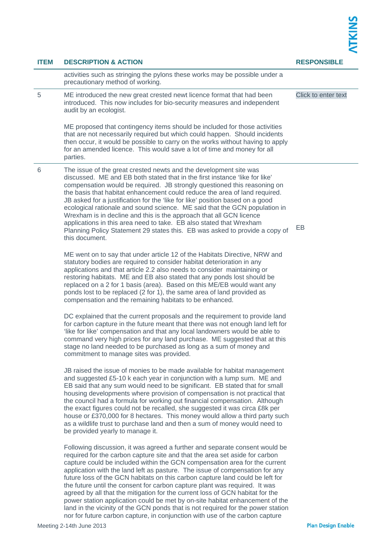| <b>ITEM</b> | <b>DESCRIPTION &amp; ACTION</b>                                                                                                                                                                                                                                                                                                                                                                                                                                                                                                                                                                                                                                                                                                                                                                                              | <b>RESPONSIBLE</b>  |  |
|-------------|------------------------------------------------------------------------------------------------------------------------------------------------------------------------------------------------------------------------------------------------------------------------------------------------------------------------------------------------------------------------------------------------------------------------------------------------------------------------------------------------------------------------------------------------------------------------------------------------------------------------------------------------------------------------------------------------------------------------------------------------------------------------------------------------------------------------------|---------------------|--|
|             | activities such as stringing the pylons these works may be possible under a<br>precautionary method of working.                                                                                                                                                                                                                                                                                                                                                                                                                                                                                                                                                                                                                                                                                                              |                     |  |
| 5           | ME introduced the new great crested newt licence format that had been<br>introduced. This now includes for bio-security measures and independent<br>audit by an ecologist.                                                                                                                                                                                                                                                                                                                                                                                                                                                                                                                                                                                                                                                   | Click to enter text |  |
|             | ME proposed that contingency items should be included for those activities<br>that are not necessarily required but which could happen. Should incidents<br>then occur, it would be possible to carry on the works without having to apply<br>for an amended licence. This would save a lot of time and money for all<br>parties.                                                                                                                                                                                                                                                                                                                                                                                                                                                                                            |                     |  |
| 6           | The issue of the great crested newts and the development site was<br>discussed. ME and EB both stated that in the first instance 'like for like'<br>compensation would be required. JB strongly questioned this reasoning on<br>the basis that habitat enhancement could reduce the area of land required.<br>JB asked for a justification for the 'like for like' position based on a good<br>ecological rationale and sound science. ME said that the GCN population in<br>Wrexham is in decline and this is the approach that all GCN licence<br>applications in this area need to take. EB also stated that Wrexham<br>Planning Policy Statement 29 states this. EB was asked to provide a copy of<br>this document.                                                                                                     | EB                  |  |
|             | ME went on to say that under article 12 of the Habitats Directive, NRW and<br>statutory bodies are required to consider habitat deterioration in any<br>applications and that article 2.2 also needs to consider maintaining or<br>restoring habitats. ME and EB also stated that any ponds lost should be<br>replaced on a 2 for 1 basis (area). Based on this ME/EB would want any<br>ponds lost to be replaced (2 for 1), the same area of land provided as<br>compensation and the remaining habitats to be enhanced.                                                                                                                                                                                                                                                                                                    |                     |  |
|             | DC explained that the current proposals and the requirement to provide land<br>for carbon capture in the future meant that there was not enough land left for<br>'like for like' compensation and that any local landowners would be able to<br>command very high prices for any land purchase. ME suggested that at this<br>stage no land needed to be purchased as long as a sum of money and<br>commitment to manage sites was provided.                                                                                                                                                                                                                                                                                                                                                                                  |                     |  |
|             | JB raised the issue of monies to be made available for habitat management<br>and suggested £5-10 k each year in conjunction with a lump sum. ME and<br>EB said that any sum would need to be significant. EB stated that for small<br>housing developments where provision of compensation is not practical that<br>the council had a formula for working out financial compensation. Although<br>the exact figures could not be recalled, she suggested it was circa £8k per<br>house or £370,000 for 8 hectares. This money would allow a third party such<br>as a wildlife trust to purchase land and then a sum of money would need to<br>be provided yearly to manage it.                                                                                                                                               |                     |  |
|             | Following discussion, it was agreed a further and separate consent would be<br>required for the carbon capture site and that the area set aside for carbon<br>capture could be included within the GCN compensation area for the current<br>application with the land left as pasture. The issue of compensation for any<br>future loss of the GCN habitats on this carbon capture land could be left for<br>the future until the consent for carbon capture plant was required. It was<br>agreed by all that the mitigation for the current loss of GCN habitat for the<br>power station application could be met by on-site habitat enhancement of the<br>land in the vicinity of the GCN ponds that is not required for the power station<br>nor for future carbon capture, in conjunction with use of the carbon capture |                     |  |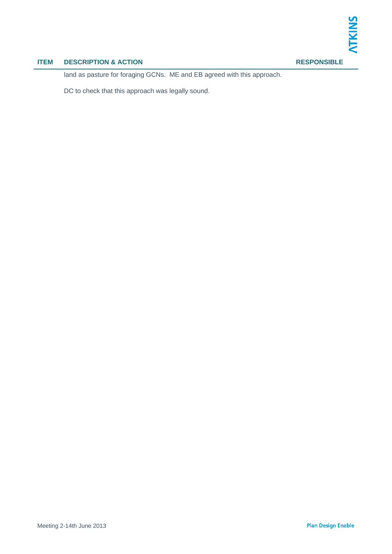## **ITEM DESCRIPTION & ACTION RESPONSIBLE**

land as pasture for foraging GCNs. ME and EB agreed with this approach.

DC to check that this approach was legally sound.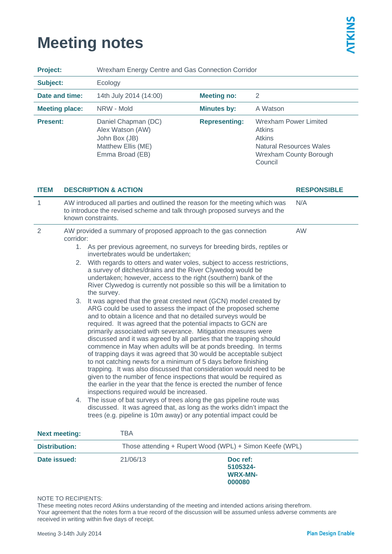## **Meeting notes**

| <b>Project:</b>         | Wrexham Energy Centre and Gas Connection Corridor                                                                                                                                                                                                                                                                                                                                                                                                                                                                                                                                                                                                                                                                                                                                                                                                                                                                                                                                                                                                                                                                |                      |                                                                                                                                              |                    |  |
|-------------------------|------------------------------------------------------------------------------------------------------------------------------------------------------------------------------------------------------------------------------------------------------------------------------------------------------------------------------------------------------------------------------------------------------------------------------------------------------------------------------------------------------------------------------------------------------------------------------------------------------------------------------------------------------------------------------------------------------------------------------------------------------------------------------------------------------------------------------------------------------------------------------------------------------------------------------------------------------------------------------------------------------------------------------------------------------------------------------------------------------------------|----------------------|----------------------------------------------------------------------------------------------------------------------------------------------|--------------------|--|
| Subject:                | Ecology                                                                                                                                                                                                                                                                                                                                                                                                                                                                                                                                                                                                                                                                                                                                                                                                                                                                                                                                                                                                                                                                                                          |                      |                                                                                                                                              |                    |  |
| Date and time:          | 14th July 2014 (14:00)                                                                                                                                                                                                                                                                                                                                                                                                                                                                                                                                                                                                                                                                                                                                                                                                                                                                                                                                                                                                                                                                                           | <b>Meeting no:</b>   | $\overline{2}$                                                                                                                               |                    |  |
| <b>Meeting place:</b>   | NRW - Mold                                                                                                                                                                                                                                                                                                                                                                                                                                                                                                                                                                                                                                                                                                                                                                                                                                                                                                                                                                                                                                                                                                       | <b>Minutes by:</b>   | A Watson                                                                                                                                     |                    |  |
| <b>Present:</b>         | Daniel Chapman (DC)<br>Alex Watson (AW)<br>John Box (JB)<br>Matthew Ellis (ME)<br>Emma Broad (EB)                                                                                                                                                                                                                                                                                                                                                                                                                                                                                                                                                                                                                                                                                                                                                                                                                                                                                                                                                                                                                | <b>Representing:</b> | <b>Wrexham Power Limited</b><br><b>Atkins</b><br><b>Atkins</b><br><b>Natural Resources Wales</b><br><b>Wrexham County Borough</b><br>Council |                    |  |
| ITEM                    | <b>DESCRIPTION &amp; ACTION</b>                                                                                                                                                                                                                                                                                                                                                                                                                                                                                                                                                                                                                                                                                                                                                                                                                                                                                                                                                                                                                                                                                  |                      |                                                                                                                                              | <b>RESPONSIBLE</b> |  |
| 1<br>known constraints. | AW introduced all parties and outlined the reason for the meeting which was<br>N/A<br>to introduce the revised scheme and talk through proposed surveys and the                                                                                                                                                                                                                                                                                                                                                                                                                                                                                                                                                                                                                                                                                                                                                                                                                                                                                                                                                  |                      |                                                                                                                                              |                    |  |
| 2<br>corridor:          | AW provided a summary of proposed approach to the gas connection                                                                                                                                                                                                                                                                                                                                                                                                                                                                                                                                                                                                                                                                                                                                                                                                                                                                                                                                                                                                                                                 |                      |                                                                                                                                              | AW                 |  |
|                         | 1. As per previous agreement, no surveys for breeding birds, reptiles or<br>invertebrates would be undertaken;                                                                                                                                                                                                                                                                                                                                                                                                                                                                                                                                                                                                                                                                                                                                                                                                                                                                                                                                                                                                   |                      |                                                                                                                                              |                    |  |
|                         | 2. With regards to otters and water voles, subject to access restrictions,<br>a survey of ditches/drains and the River Clywedog would be<br>undertaken; however, access to the right (southern) bank of the<br>River Clywedog is currently not possible so this will be a limitation to<br>the survey.                                                                                                                                                                                                                                                                                                                                                                                                                                                                                                                                                                                                                                                                                                                                                                                                           |                      |                                                                                                                                              |                    |  |
| 3.                      | It was agreed that the great crested newt (GCN) model created by<br>ARG could be used to assess the impact of the proposed scheme<br>and to obtain a licence and that no detailed surveys would be<br>required. It was agreed that the potential impacts to GCN are<br>primarily associated with severance. Mitigation measures were<br>discussed and it was agreed by all parties that the trapping should<br>commence in May when adults will be at ponds breeding. In terms<br>of trapping days it was agreed that 30 would be acceptable subject<br>to not catching newts for a minimum of 5 days before finishing<br>trapping. It was also discussed that consideration would need to be<br>given to the number of fence inspections that would be required as<br>the earlier in the year that the fence is erected the number of fence<br>inspections required would be increased.<br>4. The issue of bat surveys of trees along the gas pipeline route was<br>discussed. It was agreed that, as long as the works didn't impact the<br>trees (e.g. pipeline is 10m away) or any potential impact could be |                      |                                                                                                                                              |                    |  |
| <b>Next meeting:</b>    | <b>TBA</b>                                                                                                                                                                                                                                                                                                                                                                                                                                                                                                                                                                                                                                                                                                                                                                                                                                                                                                                                                                                                                                                                                                       |                      |                                                                                                                                              |                    |  |
| <b>Distribution:</b>    | Those attending + Rupert Wood (WPL) + Simon Keefe (WPL)                                                                                                                                                                                                                                                                                                                                                                                                                                                                                                                                                                                                                                                                                                                                                                                                                                                                                                                                                                                                                                                          |                      |                                                                                                                                              |                    |  |

**Date issued:** 21/06/13 **Doc ref: 5105324- WRX-MN-000080** 

#### NOTE TO RECIPIENTS:

These meeting notes record Atkins understanding of the meeting and intended actions arising therefrom. Your agreement that the notes form a true record of the discussion will be assumed unless adverse comments are received in writing within five days of receipt.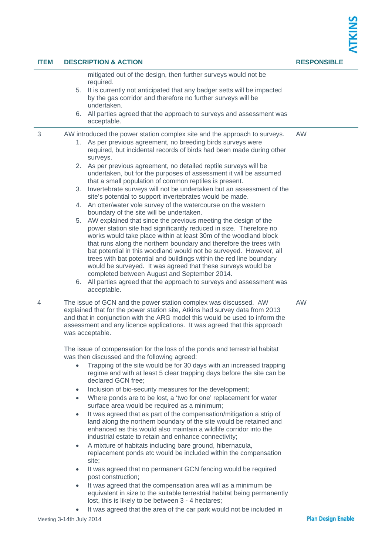| <b>ITEM</b> | <b>DESCRIPTION &amp; ACTION</b>                                                                                                                                                                                                                                                                                                                                                                                                                                                                                                                                                                                                                                                                                                                                                                                                                                                                                                                                                                                                                                                                                                                                                                                                                                                                                                                                                                                                                                                                                                                                                                                                | <b>RESPONSIBLE</b> |  |
|-------------|--------------------------------------------------------------------------------------------------------------------------------------------------------------------------------------------------------------------------------------------------------------------------------------------------------------------------------------------------------------------------------------------------------------------------------------------------------------------------------------------------------------------------------------------------------------------------------------------------------------------------------------------------------------------------------------------------------------------------------------------------------------------------------------------------------------------------------------------------------------------------------------------------------------------------------------------------------------------------------------------------------------------------------------------------------------------------------------------------------------------------------------------------------------------------------------------------------------------------------------------------------------------------------------------------------------------------------------------------------------------------------------------------------------------------------------------------------------------------------------------------------------------------------------------------------------------------------------------------------------------------------|--------------------|--|
|             | mitigated out of the design, then further surveys would not be<br>required.<br>5. It is currently not anticipated that any badger setts will be impacted<br>by the gas corridor and therefore no further surveys will be<br>undertaken.<br>6. All parties agreed that the approach to surveys and assessment was<br>acceptable.                                                                                                                                                                                                                                                                                                                                                                                                                                                                                                                                                                                                                                                                                                                                                                                                                                                                                                                                                                                                                                                                                                                                                                                                                                                                                                |                    |  |
| 3           | AW introduced the power station complex site and the approach to surveys.<br>1. As per previous agreement, no breeding birds surveys were<br>required, but incidental records of birds had been made during other<br>surveys.<br>2. As per previous agreement, no detailed reptile surveys will be<br>undertaken, but for the purposes of assessment it will be assumed<br>that a small population of common reptiles is present.<br>3. Invertebrate surveys will not be undertaken but an assessment of the<br>site's potential to support invertebrates would be made.<br>4. An otter/water vole survey of the watercourse on the western<br>boundary of the site will be undertaken.<br>5. AW explained that since the previous meeting the design of the<br>power station site had significantly reduced in size. Therefore no<br>works would take place within at least 30m of the woodland block<br>that runs along the northern boundary and therefore the trees with<br>bat potential in this woodland would not be surveyed. However, all<br>trees with bat potential and buildings within the red line boundary<br>would be surveyed. It was agreed that these surveys would be<br>completed between August and September 2014.<br>6. All parties agreed that the approach to surveys and assessment was<br>acceptable.                                                                                                                                                                                                                                                                                              | <b>AW</b>          |  |
| 4           | The issue of GCN and the power station complex was discussed. AW<br>explained that for the power station site, Atkins had survey data from 2013<br>and that in conjunction with the ARG model this would be used to inform the<br>assessment and any licence applications. It was agreed that this approach<br>was acceptable.<br>The issue of compensation for the loss of the ponds and terrestrial habitat<br>was then discussed and the following agreed:<br>Trapping of the site would be for 30 days with an increased trapping<br>$\bullet$<br>regime and with at least 5 clear trapping days before the site can be<br>declared GCN free;<br>Inclusion of bio-security measures for the development;<br>$\bullet$<br>Where ponds are to be lost, a 'two for one' replacement for water<br>$\bullet$<br>surface area would be required as a minimum;<br>It was agreed that as part of the compensation/mitigation a strip of<br>$\bullet$<br>land along the northern boundary of the site would be retained and<br>enhanced as this would also maintain a wildlife corridor into the<br>industrial estate to retain and enhance connectivity;<br>A mixture of habitats including bare ground, hibernacula,<br>$\bullet$<br>replacement ponds etc would be included within the compensation<br>site;<br>It was agreed that no permanent GCN fencing would be required<br>$\bullet$<br>post construction;<br>It was agreed that the compensation area will as a minimum be<br>$\bullet$<br>equivalent in size to the suitable terrestrial habitat being permanently<br>lost, this is likely to be between 3 - 4 hectares; | <b>AW</b>          |  |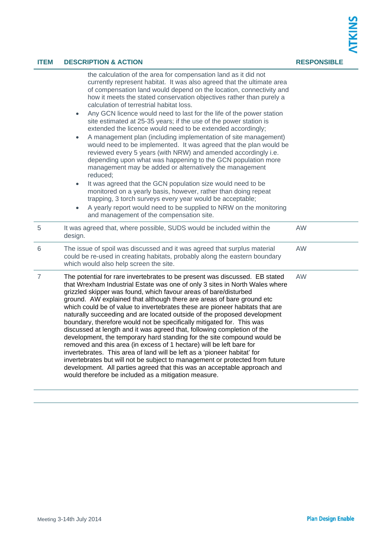| <b>ITEM</b>    | <b>DESCRIPTION &amp; ACTION</b>                                                                                                                                                                                                                                                                                                                                                                                                                                                                                                                                                                                                                                                                                                                                                                                                                                                                                                                                                                                                                                                                                                                                                                                                                           | <b>RESPONSIBLE</b> |  |
|----------------|-----------------------------------------------------------------------------------------------------------------------------------------------------------------------------------------------------------------------------------------------------------------------------------------------------------------------------------------------------------------------------------------------------------------------------------------------------------------------------------------------------------------------------------------------------------------------------------------------------------------------------------------------------------------------------------------------------------------------------------------------------------------------------------------------------------------------------------------------------------------------------------------------------------------------------------------------------------------------------------------------------------------------------------------------------------------------------------------------------------------------------------------------------------------------------------------------------------------------------------------------------------|--------------------|--|
|                | the calculation of the area for compensation land as it did not<br>currently represent habitat. It was also agreed that the ultimate area<br>of compensation land would depend on the location, connectivity and<br>how it meets the stated conservation objectives rather than purely a<br>calculation of terrestrial habitat loss.<br>Any GCN licence would need to last for the life of the power station<br>$\bullet$<br>site estimated at 25-35 years; if the use of the power station is<br>extended the licence would need to be extended accordingly;<br>A management plan (including implementation of site management)<br>$\bullet$<br>would need to be implemented. It was agreed that the plan would be<br>reviewed every 5 years (with NRW) and amended accordingly i.e.<br>depending upon what was happening to the GCN population more<br>management may be added or alternatively the management<br>reduced;<br>It was agreed that the GCN population size would need to be<br>$\bullet$<br>monitored on a yearly basis, however, rather than doing repeat<br>trapping, 3 torch surveys every year would be acceptable;<br>A yearly report would need to be supplied to NRW on the monitoring<br>and management of the compensation site. |                    |  |
| 5              | It was agreed that, where possible, SUDS would be included within the<br>design.                                                                                                                                                                                                                                                                                                                                                                                                                                                                                                                                                                                                                                                                                                                                                                                                                                                                                                                                                                                                                                                                                                                                                                          | <b>AW</b>          |  |
| 6              | The issue of spoil was discussed and it was agreed that surplus material<br>could be re-used in creating habitats, probably along the eastern boundary<br>which would also help screen the site.                                                                                                                                                                                                                                                                                                                                                                                                                                                                                                                                                                                                                                                                                                                                                                                                                                                                                                                                                                                                                                                          | <b>AW</b>          |  |
| $\overline{7}$ | The potential for rare invertebrates to be present was discussed. EB stated<br>that Wrexham Industrial Estate was one of only 3 sites in North Wales where<br>grizzled skipper was found, which favour areas of bare/disturbed<br>ground. AW explained that although there are areas of bare ground etc<br>which could be of value to invertebrates these are pioneer habitats that are<br>naturally succeeding and are located outside of the proposed development<br>boundary, therefore would not be specifically mitigated for. This was<br>discussed at length and it was agreed that, following completion of the<br>development, the temporary hard standing for the site compound would be<br>removed and this area (in excess of 1 hectare) will be left bare for<br>invertebrates. This area of land will be left as a 'pioneer habitat' for<br>invertebrates but will not be subject to management or protected from future<br>development. All parties agreed that this was an acceptable approach and<br>would therefore be included as a mitigation measure.                                                                                                                                                                                | AW                 |  |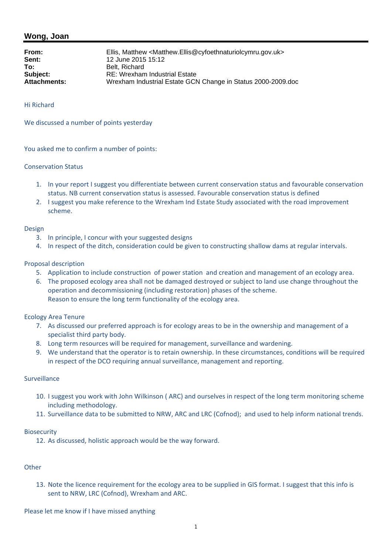| From:               | Ellis, Matthew <matthew.ellis@cyfoethnaturiolcymru.gov.uk></matthew.ellis@cyfoethnaturiolcymru.gov.uk> |
|---------------------|--------------------------------------------------------------------------------------------------------|
| Sent:               | 12 June 2015 15:12                                                                                     |
| To:                 | Belt. Richard                                                                                          |
| Subject:            | RE: Wrexham Industrial Estate                                                                          |
| <b>Attachments:</b> | Wrexham Industrial Estate GCN Change in Status 2000-2009.doc                                           |

Hi Richard

We discussed a number of points yesterday

You asked me to confirm a number of points:

#### Conservation Status

- 1. In your report I suggest you differentiate between current conservation status and favourable conservation status. NB current conservation status is assessed. Favourable conservation status is defined
- 2. I suggest you make reference to the Wrexham Ind Estate Study associated with the road improvement scheme.

#### Design

- 3. In principle, I concur with your suggested designs
- 4. In respect of the ditch, consideration could be given to constructing shallow dams at regular intervals.

#### Proposal description

- 5. Application to include construction of power station and creation and management of an ecology area.
- 6. The proposed ecology area shall not be damaged destroyed or subject to land use change throughout the operation and decommissioning (including restoration) phases of the scheme. Reason to ensure the long term functionality of the ecology area.

#### Ecology Area Tenure

- 7. As discussed our preferred approach is for ecology areas to be in the ownership and management of a specialist third party body.
- 8. Long term resources will be required for management, surveillance and wardening.
- 9. We understand that the operator is to retain ownership. In these circumstances, conditions will be required in respect of the DCO requiring annual surveillance, management and reporting.

#### Surveillance

- 10. I suggest you work with John Wilkinson ( ARC) and ourselves in respect of the long term monitoring scheme including methodology.
- 11. Surveillance data to be submitted to NRW, ARC and LRC (Cofnod); and used to help inform national trends.

#### **Biosecurity**

12. As discussed, holistic approach would be the way forward.

#### **Other**

13. Note the licence requirement for the ecology area to be supplied in GIS format. I suggest that this info is sent to NRW, LRC (Cofnod), Wrexham and ARC.

Please let me know if I have missed anything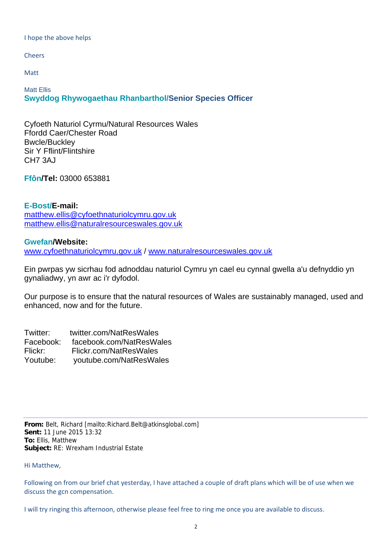I hope the above helps

Cheers

Matt

Matt Ellis **Swyddog Rhywogaethau Rhanbarthol/Senior Species Officer**

Cyfoeth Naturiol Cyrmu/Natural Resources Wales Ffordd Caer/Chester Road Bwcle/Buckley Sir Y Fflint/Flintshire CH7 3AJ

**Ffôn/Tel:** 03000 653881

**E-Bost/E-mail:** matthew.ellis@cyfoethnaturiolcymru.gov.uk matthew.ellis@naturalresourceswales.gov.uk

**Gwefan/Website:** www.cyfoethnaturiolcymru.gov.uk / www.naturalresourceswales.gov.uk

Ein pwrpas yw sicrhau fod adnoddau naturiol Cymru yn cael eu cynnal gwella a'u defnyddio yn gynaliadwy, yn awr ac i'r dyfodol.

Our purpose is to ensure that the natural resources of Wales are sustainably managed, used and enhanced, now and for the future.

Twitter: twitter.com/NatResWales Facebook: facebook.com/NatResWales Flickr: Flickr.com/NatResWales Youtube: youtube.com/NatResWales

**From:** Belt, Richard [mailto:Richard.Belt@atkinsglobal.com] **Sent:** 11 June 2015 13:32 **To:** Ellis, Matthew **Subject:** RE: Wrexham Industrial Estate

Hi Matthew,

Following on from our brief chat yesterday, I have attached a couple of draft plans which will be of use when we discuss the gcn compensation.

I will try ringing this afternoon, otherwise please feel free to ring me once you are available to discuss.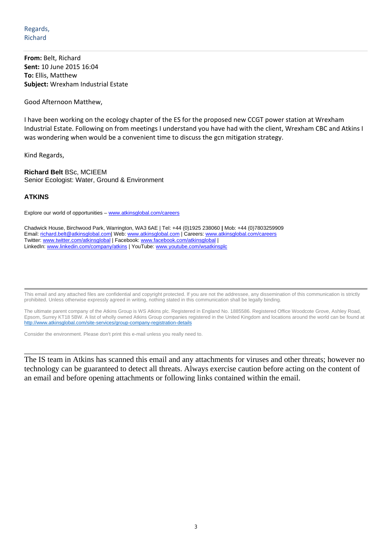**From:** Belt, Richard **Sent:** 10 June 2015 16:04 **To:** Ellis, Matthew **Subject:** Wrexham Industrial Estate

Good Afternoon Matthew,

I have been working on the ecology chapter of the ES for the proposed new CCGT power station at Wrexham Industrial Estate. Following on from meetings I understand you have had with the client, Wrexham CBC and Atkins I was wondering when would be a convenient time to discuss the gcn mitigation strategy.

Kind Regards,

**Richard Belt** BSc, MCIEEM Senior Ecologist: Water, Ground & Environment

#### **ATKINS**

Explore our world of opportunities – www.atkinsglobal.com/careers

Chadwick House, Birchwood Park, Warrington, WA3 6AE | Tel: +44 (0)1925 238060 **|** Mob: +44 (0)7803259909 Email: richard.belt@atkinsglobal.com| Web: www.atkinsglobal.com | Careers: www.atkinsglobal.com/careers Twitter: www.twitter.com/atkinsglobal | Facebook: www.facebook.com/atkinsglobal | LinkedIn: www.linkedin.com/company/atkins | YouTube: www.youtube.com/wsatkinsplc

This email and any attached files are confidential and copyright protected. If you are not the addressee, any dissemination of this communication is strictly prohibited. Unless otherwise expressly agreed in writing, nothing stated in this communication shall be legally binding.

The ultimate parent company of the Atkins Group is WS Atkins plc. Registered in England No. 1885586. Registered Office Woodcote Grove, Ashley Road, Epsom, Surrey KT18 5BW. A list of wholly owned Atkins Group companies registered in the United Kingdom and locations around the world can be found at http://www.atkinsglobal.com/site-services/group-company-registration-details

Consider the environment. Please don't print this e-mail unless you really need to.

The IS team in Atkins has scanned this email and any attachments for viruses and other threats; however no technology can be guaranteed to detect all threats. Always exercise caution before acting on the content of an email and before opening attachments or following links contained within the email.

\_\_\_\_\_\_\_\_\_\_\_\_\_\_\_\_\_\_\_\_\_\_\_\_\_\_\_\_\_\_\_\_\_\_\_\_\_\_\_\_\_\_\_\_\_\_\_\_\_\_\_\_\_\_\_\_\_\_\_\_\_\_\_\_\_\_\_\_\_\_\_\_\_\_\_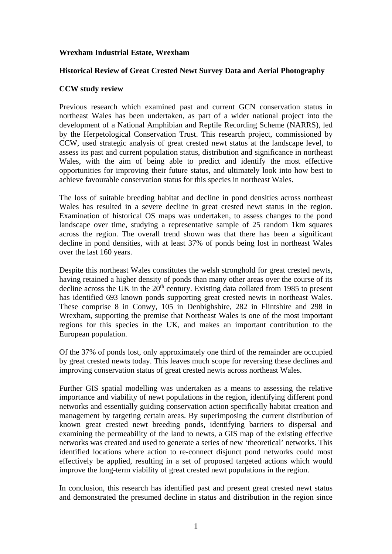## **Wrexham Industrial Estate, Wrexham**

#### **Historical Review of Great Crested Newt Survey Data and Aerial Photography**

## **CCW study review**

Previous research which examined past and current GCN conservation status in northeast Wales has been undertaken, as part of a wider national project into the development of a National Amphibian and Reptile Recording Scheme (NARRS), led by the Herpetological Conservation Trust. This research project, commissioned by CCW, used strategic analysis of great crested newt status at the landscape level, to assess its past and current population status, distribution and significance in northeast Wales, with the aim of being able to predict and identify the most effective opportunities for improving their future status, and ultimately look into how best to achieve favourable conservation status for this species in northeast Wales.

The loss of suitable breeding habitat and decline in pond densities across northeast Wales has resulted in a severe decline in great crested newt status in the region. Examination of historical OS maps was undertaken, to assess changes to the pond landscape over time, studying a representative sample of 25 random 1km squares across the region. The overall trend shown was that there has been a significant decline in pond densities, with at least 37% of ponds being lost in northeast Wales over the last 160 years.

Despite this northeast Wales constitutes the welsh stronghold for great crested newts, having retained a higher density of ponds than many other areas over the course of its decline across the UK in the  $20<sup>th</sup>$  century. Existing data collated from 1985 to present has identified 693 known ponds supporting great crested newts in northeast Wales. These comprise 8 in Conwy, 105 in Denbighshire, 282 in Flintshire and 298 in Wrexham, supporting the premise that Northeast Wales is one of the most important regions for this species in the UK, and makes an important contribution to the European population.

Of the 37% of ponds lost, only approximately one third of the remainder are occupied by great crested newts today. This leaves much scope for reversing these declines and improving conservation status of great crested newts across northeast Wales.

Further GIS spatial modelling was undertaken as a means to assessing the relative importance and viability of newt populations in the region, identifying different pond networks and essentially guiding conservation action specifically habitat creation and management by targeting certain areas. By superimposing the current distribution of known great crested newt breeding ponds, identifying barriers to dispersal and examining the permeability of the land to newts, a GIS map of the existing effective networks was created and used to generate a series of new 'theoretical' networks. This identified locations where action to re-connect disjunct pond networks could most effectively be applied, resulting in a set of proposed targeted actions which would improve the long-term viability of great crested newt populations in the region.

In conclusion, this research has identified past and present great crested newt status and demonstrated the presumed decline in status and distribution in the region since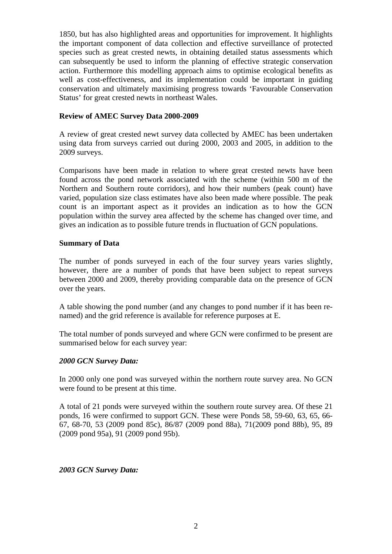1850, but has also highlighted areas and opportunities for improvement. It highlights the important component of data collection and effective surveillance of protected species such as great crested newts, in obtaining detailed status assessments which can subsequently be used to inform the planning of effective strategic conservation action. Furthermore this modelling approach aims to optimise ecological benefits as well as cost-effectiveness, and its implementation could be important in guiding conservation and ultimately maximising progress towards 'Favourable Conservation Status' for great crested newts in northeast Wales.

#### **Review of AMEC Survey Data 2000-2009**

A review of great crested newt survey data collected by AMEC has been undertaken using data from surveys carried out during 2000, 2003 and 2005, in addition to the 2009 surveys.

Comparisons have been made in relation to where great crested newts have been found across the pond network associated with the scheme (within 500 m of the Northern and Southern route corridors), and how their numbers (peak count) have varied, population size class estimates have also been made where possible. The peak count is an important aspect as it provides an indication as to how the GCN population within the survey area affected by the scheme has changed over time, and gives an indication as to possible future trends in fluctuation of GCN populations.

#### **Summary of Data**

The number of ponds surveyed in each of the four survey years varies slightly, however, there are a number of ponds that have been subject to repeat surveys between 2000 and 2009, thereby providing comparable data on the presence of GCN over the years.

A table showing the pond number (and any changes to pond number if it has been renamed) and the grid reference is available for reference purposes at E.

The total number of ponds surveyed and where GCN were confirmed to be present are summarised below for each survey year:

#### *2000 GCN Survey Data:*

In 2000 only one pond was surveyed within the northern route survey area. No GCN were found to be present at this time.

A total of 21 ponds were surveyed within the southern route survey area. Of these 21 ponds, 16 were confirmed to support GCN. These were Ponds 58, 59-60, 63, 65, 66- 67, 68-70, 53 (2009 pond 85c), 86/87 (2009 pond 88a), 71(2009 pond 88b), 95, 89 (2009 pond 95a), 91 (2009 pond 95b).

#### *2003 GCN Survey Data:*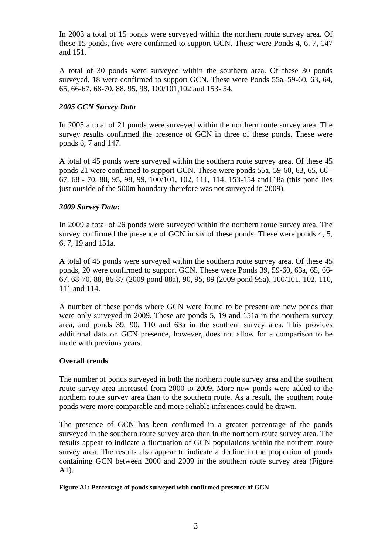In 2003 a total of 15 ponds were surveyed within the northern route survey area. Of these 15 ponds, five were confirmed to support GCN. These were Ponds 4, 6, 7, 147 and 151.

A total of 30 ponds were surveyed within the southern area. Of these 30 ponds surveyed, 18 were confirmed to support GCN. These were Ponds 55a, 59-60, 63, 64, 65, 66-67, 68-70, 88, 95, 98, 100/101,102 and 153- 54.

## *2005 GCN Survey Data*

In 2005 a total of 21 ponds were surveyed within the northern route survey area. The survey results confirmed the presence of GCN in three of these ponds. These were ponds 6, 7 and 147.

A total of 45 ponds were surveyed within the southern route survey area. Of these 45 ponds 21 were confirmed to support GCN. These were ponds 55a, 59-60, 63, 65, 66 - 67, 68 - 70, 88, 95, 98, 99, 100/101, 102, 111, 114, 153-154 and118a (this pond lies just outside of the 500m boundary therefore was not surveyed in 2009).

## *2009 Survey Data***:**

In 2009 a total of 26 ponds were surveyed within the northern route survey area. The survey confirmed the presence of GCN in six of these ponds. These were ponds 4, 5, 6, 7, 19 and 151a.

A total of 45 ponds were surveyed within the southern route survey area. Of these 45 ponds, 20 were confirmed to support GCN. These were Ponds 39, 59-60, 63a, 65, 66- 67, 68-70, 88, 86-87 (2009 pond 88a), 90, 95, 89 (2009 pond 95a), 100/101, 102, 110, 111 and 114.

A number of these ponds where GCN were found to be present are new ponds that were only surveyed in 2009. These are ponds 5, 19 and 151a in the northern survey area, and ponds 39, 90, 110 and 63a in the southern survey area. This provides additional data on GCN presence, however, does not allow for a comparison to be made with previous years.

#### **Overall trends**

The number of ponds surveyed in both the northern route survey area and the southern route survey area increased from 2000 to 2009. More new ponds were added to the northern route survey area than to the southern route. As a result, the southern route ponds were more comparable and more reliable inferences could be drawn.

The presence of GCN has been confirmed in a greater percentage of the ponds surveyed in the southern route survey area than in the northern route survey area. The results appear to indicate a fluctuation of GCN populations within the northern route survey area. The results also appear to indicate a decline in the proportion of ponds containing GCN between 2000 and 2009 in the southern route survey area (Figure A1).

#### **Figure A1: Percentage of ponds surveyed with confirmed presence of GCN**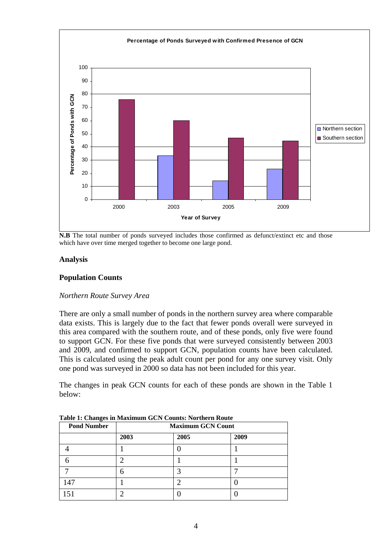

**N.B** The total number of ponds surveyed includes those confirmed as defunct/extinct etc and those which have over time merged together to become one large pond.

#### **Analysis**

## **Population Counts**

#### *Northern Route Survey Area*

There are only a small number of ponds in the northern survey area where comparable data exists. This is largely due to the fact that fewer ponds overall were surveyed in this area compared with the southern route, and of these ponds, only five were found to support GCN. For these five ponds that were surveyed consistently between 2003 and 2009, and confirmed to support GCN, population counts have been calculated. This is calculated using the peak adult count per pond for any one survey visit. Only one pond was surveyed in 2000 so data has not been included for this year.

The changes in peak GCN counts for each of these ponds are shown in the Table 1 below:

| -<br><b>Pond Number</b> | <b>Maximum GCN Count</b> |      |      |  |  |  |
|-------------------------|--------------------------|------|------|--|--|--|
|                         | 2003                     | 2005 | 2009 |  |  |  |
|                         |                          |      |      |  |  |  |
|                         | ◠                        |      |      |  |  |  |
|                         | h                        |      |      |  |  |  |
| 147                     |                          |      |      |  |  |  |
|                         | ◠                        |      |      |  |  |  |

**Table 1: Changes in Maximum GCN Counts: Northern Route**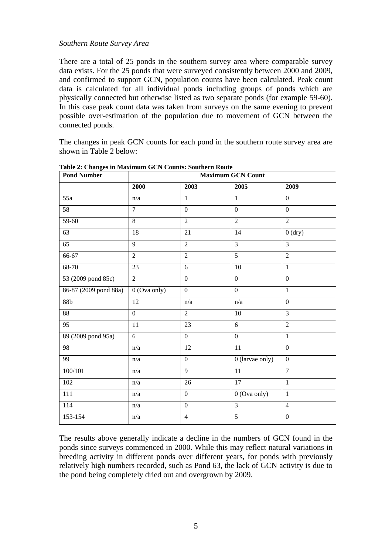#### *Southern Route Survey Area*

There are a total of 25 ponds in the southern survey area where comparable survey data exists. For the 25 ponds that were surveyed consistently between 2000 and 2009, and confirmed to support GCN, population counts have been calculated. Peak count data is calculated for all individual ponds including groups of ponds which are physically connected but otherwise listed as two separate ponds (for example 59-60). In this case peak count data was taken from surveys on the same evening to prevent possible over-estimation of the population due to movement of GCN between the connected ponds.

The changes in peak GCN counts for each pond in the southern route survey area are shown in Table 2 below:

| <b>Pond Number</b>    | <b>Maximum GCN Count</b> |                  |                           |                  |  |  |
|-----------------------|--------------------------|------------------|---------------------------|------------------|--|--|
|                       | 2000                     | 2003             | 2005                      | 2009             |  |  |
| $\overline{55a}$      | n/a                      | $\mathbf{1}$     | $\mathbf{1}$              | $\mathbf{0}$     |  |  |
| 58                    | $\overline{7}$           | $\overline{0}$   | $\overline{0}$            | $\mathbf{0}$     |  |  |
| 59-60                 | $\overline{8}$           | $\overline{2}$   | $\overline{2}$            | $\overline{2}$   |  |  |
| 63                    | 18                       | 21               | 14                        | $0$ (dry)        |  |  |
| $\overline{65}$       | $\overline{9}$           | $\overline{2}$   | $\overline{3}$            | $\overline{3}$   |  |  |
| 66-67                 | $\overline{2}$           | $\overline{2}$   | 5                         | $\overline{2}$   |  |  |
| 68-70                 | 23                       | 6                | 10                        | $\mathbf{1}$     |  |  |
| 53 (2009 pond 85c)    | $\overline{2}$           | $\overline{0}$   | $\overline{0}$            | $\overline{0}$   |  |  |
| 86-87 (2009 pond 88a) | 0 (Ova only)             | $\overline{0}$   | $\overline{0}$            | $\mathbf{1}$     |  |  |
| 88 <b>b</b>           | 12                       | n/a              | n/a                       | $\boldsymbol{0}$ |  |  |
| 88                    | $\mathbf{0}$             | $\overline{2}$   | 10                        | 3                |  |  |
| 95                    | 11                       | 23               | 6                         | $\overline{2}$   |  |  |
| 89 (2009 pond 95a)    | 6                        | $\boldsymbol{0}$ | $\mathbf{0}$              | $\mathbf{1}$     |  |  |
| 98                    | n/a                      | 12               | 11                        | $\overline{0}$   |  |  |
| 99                    | $\mathrm{n}/\mathrm{a}$  | $\mathbf{0}$     | 0 (larvae only)           | $\overline{0}$   |  |  |
| 100/101               | n/a                      | $\overline{9}$   | 11                        | $\overline{7}$   |  |  |
| 102                   | n/a                      | 26               | 17                        | $\mathbf{1}$     |  |  |
| 111                   | n/a                      | $\boldsymbol{0}$ | $\overline{0}$ (Ova only) | $\mathbf{1}$     |  |  |
| 114                   | n/a                      | $\boldsymbol{0}$ | $\overline{3}$            | $\overline{4}$   |  |  |
| 153-154               | n/a                      | $\overline{4}$   | 5                         | $\boldsymbol{0}$ |  |  |

**Table 2: Changes in Maximum GCN Counts: Southern Route** 

The results above generally indicate a decline in the numbers of GCN found in the ponds since surveys commenced in 2000. While this may reflect natural variations in breeding activity in different ponds over different years, for ponds with previously relatively high numbers recorded, such as Pond 63, the lack of GCN activity is due to the pond being completely dried out and overgrown by 2009.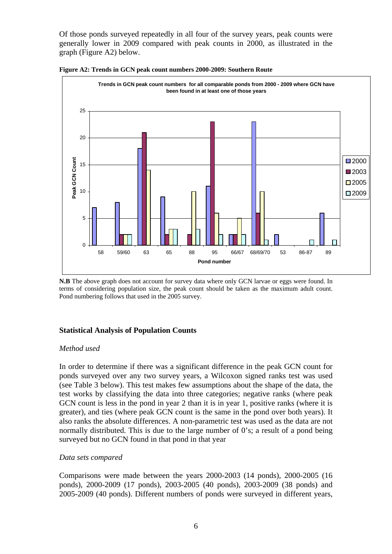Of those ponds surveyed repeatedly in all four of the survey years, peak counts were generally lower in 2009 compared with peak counts in 2000, as illustrated in the graph (Figure A2) below.



**Figure A2: Trends in GCN peak count numbers 2000-2009: Southern Route**

#### **Statistical Analysis of Population Counts**

#### *Method used*

In order to determine if there was a significant difference in the peak GCN count for ponds surveyed over any two survey years, a Wilcoxon signed ranks test was used (see Table 3 below). This test makes few assumptions about the shape of the data, the test works by classifying the data into three categories; negative ranks (where peak GCN count is less in the pond in year 2 than it is in year 1, positive ranks (where it is greater), and ties (where peak GCN count is the same in the pond over both years). It also ranks the absolute differences. A non-parametric test was used as the data are not normally distributed. This is due to the large number of 0's; a result of a pond being surveyed but no GCN found in that pond in that year

#### *Data sets compared*

Comparisons were made between the years 2000-2003 (14 ponds), 2000-2005 (16 ponds), 2000-2009 (17 ponds), 2003-2005 (40 ponds), 2003-2009 (38 ponds) and 2005-2009 (40 ponds). Different numbers of ponds were surveyed in different years,

**N.B** The above graph does not account for survey data where only GCN larvae or eggs were found. In terms of considering population size, the peak count should be taken as the maximum adult count. Pond numbering follows that used in the 2005 survey.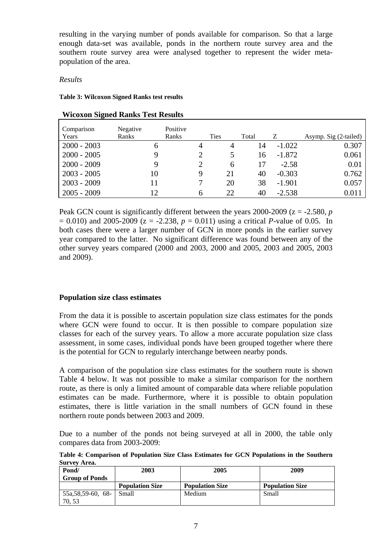resulting in the varying number of ponds available for comparison. So that a large enough data-set was available, ponds in the northern route survey area and the southern route survey area were analysed together to represent the wider metapopulation of the area.

## *Results*

**Table 3: Wilcoxon Signed Ranks test results** 

| Comparison<br>Years | Negative<br>Ranks | Positive<br>Ranks | <b>Ties</b> | Total |          | Asymp. Sig (2-tailed) |
|---------------------|-------------------|-------------------|-------------|-------|----------|-----------------------|
|                     |                   |                   |             |       |          |                       |
| $2000 - 2003$       | <sub>0</sub>      | 4                 | 4           | 14    | $-1.022$ | 0.307                 |
| $2000 - 2005$       |                   |                   |             | 16    | $-1.872$ | 0.061                 |
| $2000 - 2009$       | Q                 |                   | 6           | 17    | $-2.58$  | 0.01                  |
| $2003 - 2005$       | 10                | 9                 | 21          | 40    | $-0.303$ | 0.762                 |
| $2003 - 2009$       | 11                |                   | 20          | 38    | $-1.901$ | 0.057                 |
| $2005 - 2009$       | 12                | h                 | 22          | 40    | $-2.538$ | 0.011                 |

## **Wicoxon Signed Ranks Test Results**

Peak GCN count is significantly different between the years  $2000-2009$  ( $z = -2.580$ ,  $p$ )  $= 0.010$ ) and 2005-2009 ( $z = -2.238$ ,  $p = 0.011$ ) using a critical *P*-value of 0.05. In both cases there were a larger number of GCN in more ponds in the earlier survey year compared to the latter. No significant difference was found between any of the other survey years compared (2000 and 2003, 2000 and 2005, 2003 and 2005, 2003 and 2009).

## **Population size class estimates**

From the data it is possible to ascertain population size class estimates for the ponds where GCN were found to occur. It is then possible to compare population size classes for each of the survey years. To allow a more accurate population size class assessment, in some cases, individual ponds have been grouped together where there is the potential for GCN to regularly interchange between nearby ponds.

A comparison of the population size class estimates for the southern route is shown Table 4 below. It was not possible to make a similar comparison for the northern route, as there is only a limited amount of comparable data where reliable population estimates can be made. Furthermore, where it is possible to obtain population estimates, there is little variation in the small numbers of GCN found in these northern route ponds between 2003 and 2009.

Due to a number of the ponds not being surveyed at all in 2000, the table only compares data from 2003-2009:

**Table 4: Comparison of Population Size Class Estimates for GCN Populations in the Southern Survey Area.** 

| Pond/                 | 2003                   | 2005                   | 2009                   |
|-----------------------|------------------------|------------------------|------------------------|
| <b>Group of Ponds</b> |                        |                        |                        |
|                       | <b>Population Size</b> | <b>Population Size</b> | <b>Population Size</b> |
| $55a, 58, 59-60, 68-$ | Small                  | Medium                 | Small                  |
| 70.53                 |                        |                        |                        |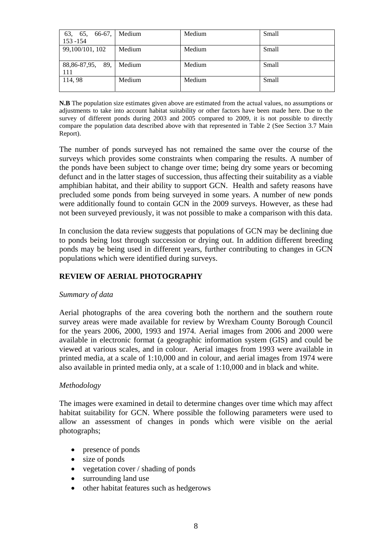| 63, 65, 66-67,<br>$153 - 154$ | Medium | Medium | Small |
|-------------------------------|--------|--------|-------|
| 99,100/101, 102               | Medium | Medium | Small |
| 88, 86-87, 95, 89,<br>111     | Medium | Medium | Small |
| 114,98                        | Medium | Medium | Small |

**N.B** The population size estimates given above are estimated from the actual values, no assumptions or adjustments to take into account habitat suitability or other factors have been made here. Due to the survey of different ponds during 2003 and 2005 compared to 2009, it is not possible to directly compare the population data described above with that represented in Table 2 (See Section 3.7 Main Report).

The number of ponds surveyed has not remained the same over the course of the surveys which provides some constraints when comparing the results. A number of the ponds have been subject to change over time; being dry some years or becoming defunct and in the latter stages of succession, thus affecting their suitability as a viable amphibian habitat, and their ability to support GCN. Health and safety reasons have precluded some ponds from being surveyed in some years. A number of new ponds were additionally found to contain GCN in the 2009 surveys. However, as these had not been surveyed previously, it was not possible to make a comparison with this data.

In conclusion the data review suggests that populations of GCN may be declining due to ponds being lost through succession or drying out. In addition different breeding ponds may be being used in different years, further contributing to changes in GCN populations which were identified during surveys.

## **REVIEW OF AERIAL PHOTOGRAPHY**

#### *Summary of data*

Aerial photographs of the area covering both the northern and the southern route survey areas were made available for review by Wrexham County Borough Council for the years 2006, 2000, 1993 and 1974. Aerial images from 2006 and 2000 were available in electronic format (a geographic information system (GIS) and could be viewed at various scales, and in colour. Aerial images from 1993 were available in printed media, at a scale of 1:10,000 and in colour, and aerial images from 1974 were also available in printed media only, at a scale of 1:10,000 and in black and white.

#### *Methodology*

The images were examined in detail to determine changes over time which may affect habitat suitability for GCN. Where possible the following parameters were used to allow an assessment of changes in ponds which were visible on the aerial photographs;

- presence of ponds
- size of ponds
- vegetation cover / shading of ponds
- surrounding land use
- other habitat features such as hedgerows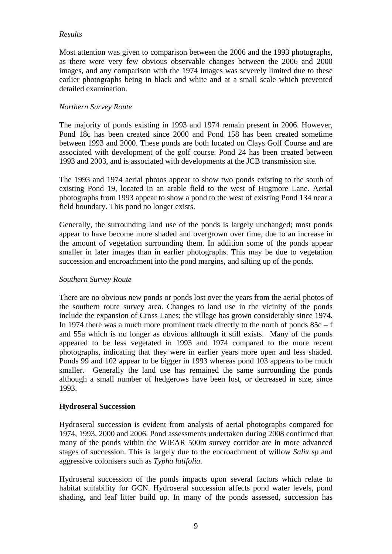## *Results*

Most attention was given to comparison between the 2006 and the 1993 photographs, as there were very few obvious observable changes between the 2006 and 2000 images, and any comparison with the 1974 images was severely limited due to these earlier photographs being in black and white and at a small scale which prevented detailed examination.

## *Northern Survey Route*

The majority of ponds existing in 1993 and 1974 remain present in 2006. However, Pond 18c has been created since 2000 and Pond 158 has been created sometime between 1993 and 2000. These ponds are both located on Clays Golf Course and are associated with development of the golf course. Pond 24 has been created between 1993 and 2003, and is associated with developments at the JCB transmission site.

The 1993 and 1974 aerial photos appear to show two ponds existing to the south of existing Pond 19, located in an arable field to the west of Hugmore Lane. Aerial photographs from 1993 appear to show a pond to the west of existing Pond 134 near a field boundary. This pond no longer exists.

Generally, the surrounding land use of the ponds is largely unchanged; most ponds appear to have become more shaded and overgrown over time, due to an increase in the amount of vegetation surrounding them. In addition some of the ponds appear smaller in later images than in earlier photographs. This may be due to vegetation succession and encroachment into the pond margins, and silting up of the ponds.

#### *Southern Survey Route*

There are no obvious new ponds or ponds lost over the years from the aerial photos of the southern route survey area. Changes to land use in the vicinity of the ponds include the expansion of Cross Lanes; the village has grown considerably since 1974. In 1974 there was a much more prominent track directly to the north of ponds  $85c - f$ and 55a which is no longer as obvious although it still exists. Many of the ponds appeared to be less vegetated in 1993 and 1974 compared to the more recent photographs, indicating that they were in earlier years more open and less shaded. Ponds 99 and 102 appear to be bigger in 1993 whereas pond 103 appears to be much smaller. Generally the land use has remained the same surrounding the ponds although a small number of hedgerows have been lost, or decreased in size, since 1993.

#### **Hydroseral Succession**

Hydroseral succession is evident from analysis of aerial photographs compared for 1974, 1993, 2000 and 2006. Pond assessments undertaken during 2008 confirmed that many of the ponds within the WIEAR 500m survey corridor are in more advanced stages of succession. This is largely due to the encroachment of willow *Salix sp* and aggressive colonisers such as *Typha latifolia*.

Hydroseral succession of the ponds impacts upon several factors which relate to habitat suitability for GCN. Hydroseral succession affects pond water levels, pond shading, and leaf litter build up. In many of the ponds assessed, succession has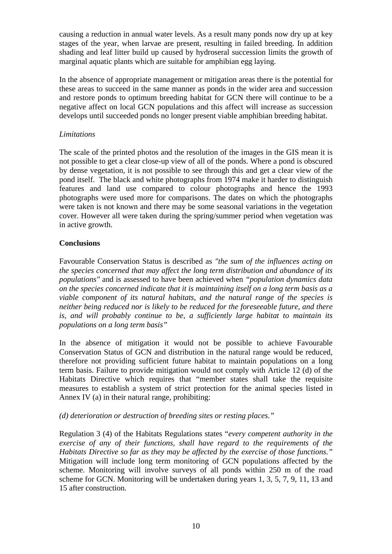causing a reduction in annual water levels. As a result many ponds now dry up at key stages of the year, when larvae are present, resulting in failed breeding. In addition shading and leaf litter build up caused by hydroseral succession limits the growth of marginal aquatic plants which are suitable for amphibian egg laying.

In the absence of appropriate management or mitigation areas there is the potential for these areas to succeed in the same manner as ponds in the wider area and succession and restore ponds to optimum breeding habitat for GCN there will continue to be a negative affect on local GCN populations and this affect will increase as succession develops until succeeded ponds no longer present viable amphibian breeding habitat.

## *Limitations*

The scale of the printed photos and the resolution of the images in the GIS mean it is not possible to get a clear close-up view of all of the ponds. Where a pond is obscured by dense vegetation, it is not possible to see through this and get a clear view of the pond itself. The black and white photographs from 1974 make it harder to distinguish features and land use compared to colour photographs and hence the 1993 photographs were used more for comparisons. The dates on which the photographs were taken is not known and there may be some seasonal variations in the vegetation cover. However all were taken during the spring/summer period when vegetation was in active growth.

## **Conclusions**

Favourable Conservation Status is described as *"the sum of the influences acting on the species concerned that may affect the long term distribution and abundance of its populations"* and is assessed to have been achieved when *"population dynamics data on the species concerned indicate that it is maintaining itself on a long term basis as a viable component of its natural habitats, and the natural range of the species is neither being reduced nor is likely to be reduced for the foreseeable future, and there is, and will probably continue to be, a sufficiently large habitat to maintain its populations on a long term basis"* 

In the absence of mitigation it would not be possible to achieve Favourable Conservation Status of GCN and distribution in the natural range would be reduced, therefore not providing sufficient future habitat to maintain populations on a long term basis. Failure to provide mitigation would not comply with Article 12 (d) of the Habitats Directive which requires that "member states shall take the requisite measures to establish a system of strict protection for the animal species listed in Annex IV (a) in their natural range, prohibiting:

## *(d) deterioration or destruction of breeding sites or resting places."*

Regulation 3 (4) of the Habitats Regulations states "*every competent authority in the exercise of any of their functions, shall have regard to the requirements of the Habitats Directive so far as they may be affected by the exercise of those functions."* Mitigation will include long term monitoring of GCN populations affected by the scheme. Monitoring will involve surveys of all ponds within 250 m of the road scheme for GCN. Monitoring will be undertaken during years 1, 3, 5, 7, 9, 11, 13 and 15 after construction*.*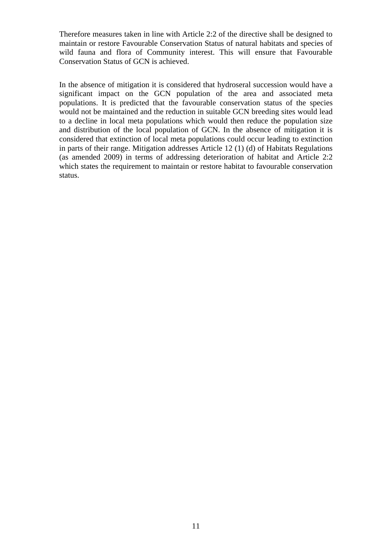Therefore measures taken in line with Article 2:2 of the directive shall be designed to maintain or restore Favourable Conservation Status of natural habitats and species of wild fauna and flora of Community interest. This will ensure that Favourable Conservation Status of GCN is achieved.

In the absence of mitigation it is considered that hydroseral succession would have a significant impact on the GCN population of the area and associated meta populations. It is predicted that the favourable conservation status of the species would not be maintained and the reduction in suitable GCN breeding sites would lead to a decline in local meta populations which would then reduce the population size and distribution of the local population of GCN. In the absence of mitigation it is considered that extinction of local meta populations could occur leading to extinction in parts of their range. Mitigation addresses Article 12 (1) (d) of Habitats Regulations (as amended 2009) in terms of addressing deterioration of habitat and Article 2:2 which states the requirement to maintain or restore habitat to favourable conservation status.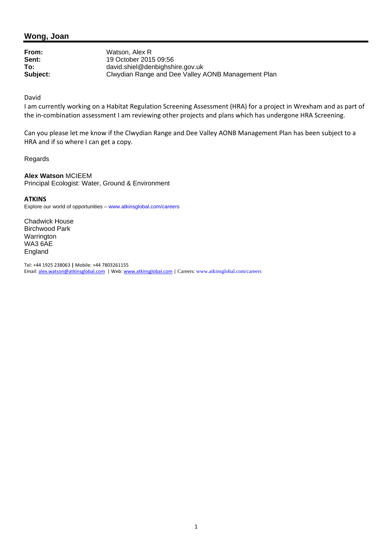**From:** Watson, Alex R<br> **Sent:** 19 October 201 **Sent:** 19 October 2015 09:56 **To:** david.shiel@denbighshire.gov.uk<br> **Subject:** Clwydian Range and Dee Valley *I* **Subject:** Clwydian Range and Dee Valley AONB Management Plan

#### David

I am currently working on a Habitat Regulation Screening Assessment (HRA) for a project in Wrexham and as part of the in-combination assessment I am reviewing other projects and plans which has undergone HRA Screening.

Can you please let me know if the Clwydian Range and Dee Valley AONB Management Plan has been subject to a HRA and if so where I can get a copy.

Regards

**Alex Watson** MCIEEM Principal Ecologist: Water, Ground & Environment

#### **ATKINS**

Explore our world of opportunities – www.atkinsglobal.com/careers

Chadwick House Birchwood Park **Warrington** WA3 6AE England

Tel: +44 1925 238063 **|** Mobile: +44 7803261155 Email: alex.watson@atkinsglobal.com | Web: www.atkinsglobal.com | Careers: www.atkinsglobal.com/careers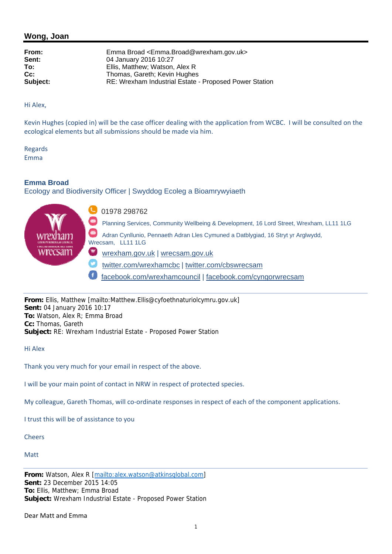**From:** Emma Broad <Emma.Broad@wrexham.gov.uk> **Sent:** 04 January 2016 10:27 **To:** Ellis, Matthew; Watson, Alex R **Cc:** Thomas, Gareth; Kevin Hughes **Subject:** RE: Wrexham Industrial Estate - Proposed Power Station

Hi Alex,

Kevin Hughes (copied in) will be the case officer dealing with the application from WCBC. I will be consulted on the ecological elements but all submissions should be made via him.

Regards Emma

**Emma Broad** 

Ecology and Biodiversity Officer | Swyddog Ecoleg a Bioamrywyiaeth



**From:** Ellis, Matthew [mailto:Matthew.Ellis@cyfoethnaturiolcymru.gov.uk] **Sent:** 04 January 2016 10:17 **To:** Watson, Alex R; Emma Broad **Cc:** Thomas, Gareth **Subject:** RE: Wrexham Industrial Estate - Proposed Power Station

Hi Alex

Thank you very much for your email in respect of the above.

I will be your main point of contact in NRW in respect of protected species.

My colleague, Gareth Thomas, will co-ordinate responses in respect of each of the component applications.

I trust this will be of assistance to you

**Cheers** 

**Matt** 

**From:** Watson, Alex R [mailto:alex.watson@atkinsglobal.com] **Sent:** 23 December 2015 14:05 **To:** Ellis, Matthew; Emma Broad **Subject:** Wrexham Industrial Estate - Proposed Power Station

Dear Matt and Emma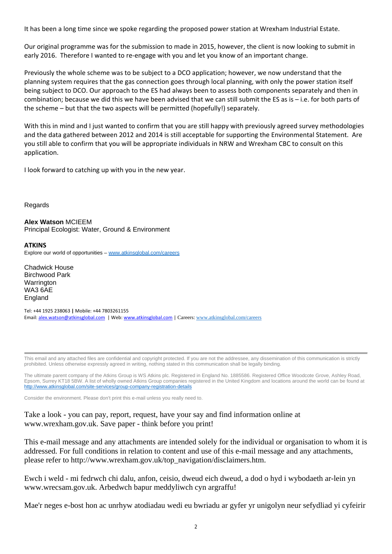It has been a long time since we spoke regarding the proposed power station at Wrexham Industrial Estate.

Our original programme was for the submission to made in 2015, however, the client is now looking to submit in early 2016. Therefore I wanted to re-engage with you and let you know of an important change.

Previously the whole scheme was to be subject to a DCO application; however, we now understand that the planning system requires that the gas connection goes through local planning, with only the power station itself being subject to DCO. Our approach to the ES had always been to assess both components separately and then in combination; because we did this we have been advised that we can still submit the ES as is – i.e. for both parts of the scheme – but that the two aspects will be permitted (hopefully!) separately.

With this in mind and I just wanted to confirm that you are still happy with previously agreed survey methodologies and the data gathered between 2012 and 2014 is still acceptable for supporting the Environmental Statement. Are you still able to confirm that you will be appropriate individuals in NRW and Wrexham CBC to consult on this application.

I look forward to catching up with you in the new year.

**Regards** 

**Alex Watson** MCIEEM Principal Ecologist: Water, Ground & Environment

**ATKINS**

Explore our world of opportunities – www.atkinsglobal.com/careers

Chadwick House Birchwood Park **Warrington** WA3 6AE England

Tel: +44 1925 238063 **|** Mobile: +44 7803261155 Email: alex.watson@atkinsglobal.com | Web: www.atkinsglobal.com | Careers: www.atkinsglobal.com/careers

This email and any attached files are confidential and copyright protected. If you are not the addressee, any dissemination of this communication is strictly prohibited. Unless otherwise expressly agreed in writing, nothing stated in this communication shall be legally binding.

The ultimate parent company of the Atkins Group is WS Atkins plc. Registered in England No. 1885586. Registered Office Woodcote Grove, Ashley Road, Epsom, Surrey KT18 5BW. A list of wholly owned Atkins Group companies registered in the United Kingdom and locations around the world can be found at http://www.atkinsglobal.com/site-services/group-company-registration-details

Consider the environment. Please don't print this e-mail unless you really need to.

Take a look - you can pay, report, request, have your say and find information online at www.wrexham.gov.uk. Save paper - think before you print!

This e-mail message and any attachments are intended solely for the individual or organisation to whom it is addressed. For full conditions in relation to content and use of this e-mail message and any attachments, please refer to http://www.wrexham.gov.uk/top\_navigation/disclaimers.htm.

Ewch i weld - mi fedrwch chi dalu, anfon, ceisio, dweud eich dweud, a dod o hyd i wybodaeth ar-lein yn www.wrecsam.gov.uk. Arbedwch bapur meddyliwch cyn argraffu!

Mae'r neges e-bost hon ac unrhyw atodiadau wedi eu bwriadu ar gyfer yr unigolyn neur sefydliad yi cyfeirir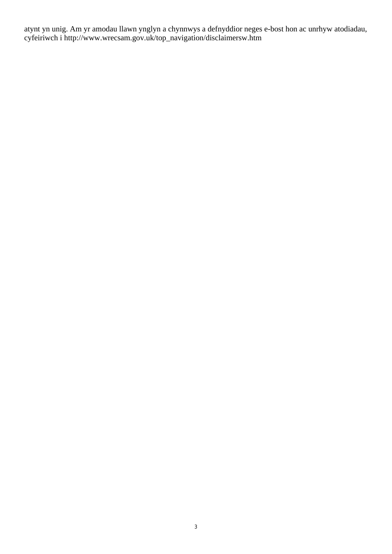atynt yn unig. Am yr amodau llawn ynglyn a chynnwys a defnyddior neges e-bost hon ac unrhyw atodiadau, cyfeiriwch i http://www.wrecsam.gov.uk/top\_navigation/disclaimersw.htm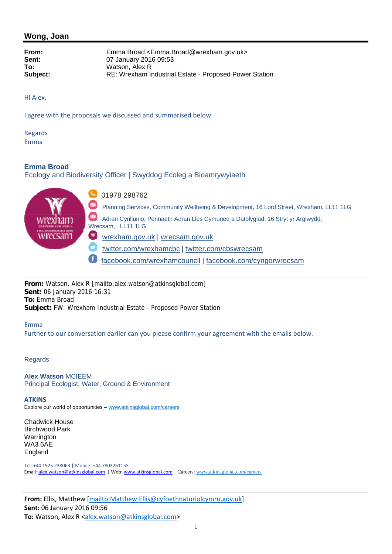**From:** Emma Broad <Emma.Broad@wrexham.gov.uk> **Sent:** 07 January 2016 09:53 **To:** Watson, Alex R **Subject:** RE: Wrexham Industrial Estate - Proposed Power Station

Hi Alex,

I agree with the proposals we discussed and summarised below.

Regards Emma

## **Emma Broad**

Ecology and Biodiversity Officer | Swyddog Ecoleg a Bioamrywyiaeth



**From:** Watson, Alex R [mailto:alex.watson@atkinsglobal.com] **Sent:** 06 January 2016 16:31 **To:** Emma Broad **Subject:** FW: Wrexham Industrial Estate - Proposed Power Station

#### Emma

Further to our conversation earlier can you please confirm your agreement with the emails below.

#### Regards

**Alex Watson** MCIEEM Principal Ecologist: Water, Ground & Environment

#### **ATKINS**

Explore our world of opportunities – www.atkinsglobal.com/careers

Chadwick House Birchwood Park Warrington WA3 6AE England

Tel: +44 1925 238063 **|** Mobile: +44 7803261155 Email: alex.watson@atkinsglobal.com | Web: www.atkinsglobal.com | Careers: www.atkinsglobal.com/careers

**From:** Ellis, Matthew [mailto:Matthew.Ellis@cyfoethnaturiolcymru.gov.uk] **Sent:** 06 January 2016 09:56 **To:** Watson, Alex R <alex.watson@atkinsglobal.com>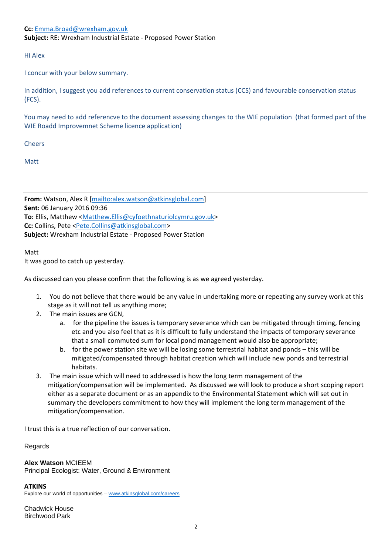## **Cc:** Emma.Broad@wrexham.gov.uk **Subject:** RE: Wrexham Industrial Estate ‐ Proposed Power Station

Hi Alex

I concur with your below summary.

In addition, I suggest you add references to current conservation status (CCS) and favourable conservation status (FCS).

You may need to add referencve to the document assessing changes to the WIE population (that formed part of the WIE Roadd Improvemnet Scheme licence application)

Cheers

Matt

**From:** Watson, Alex R [mailto:alex.watson@atkinsglobal.com] **Sent:** 06 January 2016 09:36 **To:** Ellis, Matthew <Matthew.Ellis@cyfoethnaturiolcymru.gov.uk> **Cc:** Collins, Pete <Pete.Collins@atkinsglobal.com> **Subject:** Wrexham Industrial Estate ‐ Proposed Power Station

Matt

It was good to catch up yesterday.

As discussed can you please confirm that the following is as we agreed yesterday.

- 1. You do not believe that there would be any value in undertaking more or repeating any survey work at this stage as it will not tell us anything more;
- 2. The main issues are GCN,
	- a. for the pipeline the issues is temporary severance which can be mitigated through timing, fencing etc and you also feel that as it is difficult to fully understand the impacts of temporary severance that a small commuted sum for local pond management would also be appropriate;
	- b. for the power station site we will be losing some terrestrial habitat and ponds this will be mitigated/compensated through habitat creation which will include new ponds and terrestrial habitats.
- 3. The main issue which will need to addressed is how the long term management of the mitigation/compensation will be implemented. As discussed we will look to produce a short scoping report either as a separate document or as an appendix to the Environmental Statement which will set out in summary the developers commitment to how they will implement the long term management of the mitigation/compensation.

I trust this is a true reflection of our conversation.

**Regards** 

**Alex Watson** MCIEEM

Principal Ecologist: Water, Ground & Environment

**ATKINS**

Explore our world of opportunities – www.atkinsglobal.com/careers

Chadwick House Birchwood Park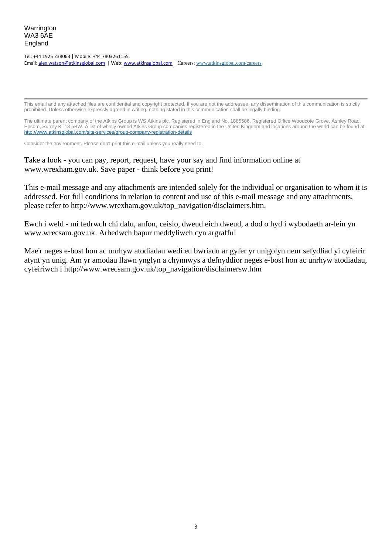#### Tel: +44 1925 238063 **|** Mobile: +44 7803261155 Email: alex.watson@atkinsglobal.com | Web: www.atkinsglobal.com | Careers: www.atkinsglobal.com/careers

This email and any attached files are confidential and copyright protected. If you are not the addressee, any dissemination of this communication is strictly prohibited. Unless otherwise expressly agreed in writing, nothing stated in this communication shall be legally binding.

The ultimate parent company of the Atkins Group is WS Atkins plc. Registered in England No. 1885586. Registered Office Woodcote Grove, Ashley Road, Epsom, Surrey KT18 5BW. A list of wholly owned Atkins Group companies registered in the United Kingdom and locations around the world can be found at http://www.atkinsglobal.com/site-services/group-company-registration-details

Consider the environment. Please don't print this e-mail unless you really need to.

Take a look - you can pay, report, request, have your say and find information online at www.wrexham.gov.uk. Save paper - think before you print!

This e-mail message and any attachments are intended solely for the individual or organisation to whom it is addressed. For full conditions in relation to content and use of this e-mail message and any attachments, please refer to http://www.wrexham.gov.uk/top\_navigation/disclaimers.htm.

Ewch i weld - mi fedrwch chi dalu, anfon, ceisio, dweud eich dweud, a dod o hyd i wybodaeth ar-lein yn www.wrecsam.gov.uk. Arbedwch bapur meddyliwch cyn argraffu!

Mae'r neges e-bost hon ac unrhyw atodiadau wedi eu bwriadu ar gyfer yr unigolyn neur sefydliad yi cyfeirir atynt yn unig. Am yr amodau llawn ynglyn a chynnwys a defnyddior neges e-bost hon ac unrhyw atodiadau, cyfeiriwch i http://www.wrecsam.gov.uk/top\_navigation/disclaimersw.htm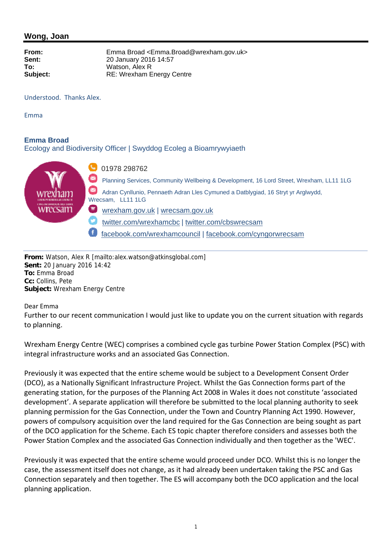**From:** Emma Broad <Emma.Broad@wrexham.gov.uk> **Sent:** 20 January 2016 14:57 **To:** Watson, Alex R **Subject:** RE: Wrexham Energy Centre

Understood. Thanks Alex.

Emma

## **Emma Broad**

Ecology and Biodiversity Officer | Swyddog Ecoleg a Bioamrywyiaeth



**From:** Watson, Alex R [mailto:alex.watson@atkinsglobal.com] **Sent:** 20 January 2016 14:42 **To:** Emma Broad **Cc:** Collins, Pete **Subject:** Wrexham Energy Centre

Dear Emma

Further to our recent communication I would just like to update you on the current situation with regards to planning.

Wrexham Energy Centre (WEC) comprises a combined cycle gas turbine Power Station Complex (PSC) with integral infrastructure works and an associated Gas Connection.

Previously it was expected that the entire scheme would be subject to a Development Consent Order (DCO), as a Nationally Significant Infrastructure Project. Whilst the Gas Connection forms part of the generating station, for the purposes of the Planning Act 2008 in Wales it does not constitute 'associated development'. A separate application will therefore be submitted to the local planning authority to seek planning permission for the Gas Connection, under the Town and Country Planning Act 1990. However, powers of compulsory acquisition over the land required for the Gas Connection are being sought as part of the DCO application for the Scheme. Each ES topic chapter therefore considers and assesses both the Power Station Complex and the associated Gas Connection individually and then together as the 'WEC'.

Previously it was expected that the entire scheme would proceed under DCO. Whilst this is no longer the case, the assessment itself does not change, as it had already been undertaken taking the PSC and Gas Connection separately and then together. The ES will accompany both the DCO application and the local planning application.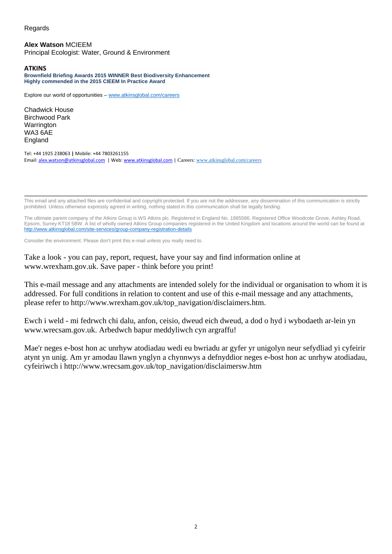#### Regards

**Alex Watson** MCIEEM Principal Ecologist: Water, Ground & Environment

#### **ATKINS**

**Brownfield Briefing Awards 2015 WINNER Best Biodiversity Enhancement Highly commended in the 2015 CIEEM In Practice Award** 

Explore our world of opportunities – www.atkinsglobal.com/careers

Chadwick House Birchwood Park Warrington WA3 6AE England

Tel: +44 1925 238063 **|** Mobile: +44 7803261155 Email: alex.watson@atkinsglobal.com | Web: www.atkinsglobal.com | Careers: www.atkinsglobal.com/careers

This email and any attached files are confidential and copyright protected. If you are not the addressee, any dissemination of this communication is strictly prohibited. Unless otherwise expressly agreed in writing, nothing stated in this communication shall be legally binding.

The ultimate parent company of the Atkins Group is WS Atkins plc. Registered in England No. 1885586. Registered Office Woodcote Grove, Ashley Road, Epsom, Surrey KT18 5BW. A list of wholly owned Atkins Group companies registered in the United Kingdom and locations around the world can be found at http://www.atkinsglobal.com/site-services/group-company-registration-details

Consider the environment. Please don't print this e-mail unless you really need to.

Take a look - you can pay, report, request, have your say and find information online at www.wrexham.gov.uk. Save paper - think before you print!

This e-mail message and any attachments are intended solely for the individual or organisation to whom it is addressed. For full conditions in relation to content and use of this e-mail message and any attachments, please refer to http://www.wrexham.gov.uk/top\_navigation/disclaimers.htm.

Ewch i weld - mi fedrwch chi dalu, anfon, ceisio, dweud eich dweud, a dod o hyd i wybodaeth ar-lein yn www.wrecsam.gov.uk. Arbedwch bapur meddyliwch cyn argraffu!

Mae'r neges e-bost hon ac unrhyw atodiadau wedi eu bwriadu ar gyfer yr unigolyn neur sefydliad yi cyfeirir atynt yn unig. Am yr amodau llawn ynglyn a chynnwys a defnyddior neges e-bost hon ac unrhyw atodiadau, cyfeiriwch i http://www.wrecsam.gov.uk/top\_navigation/disclaimersw.htm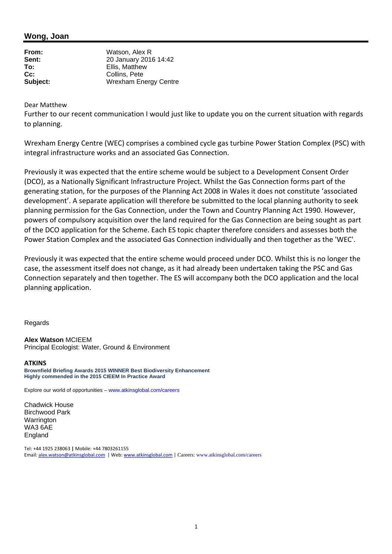| From:           | Watson, Alex R               |  |
|-----------------|------------------------------|--|
| Sent:           | 20 January 2016 14:42        |  |
| To:             | Ellis, Matthew               |  |
| $\mathsf{Cc}$ : | Collins, Pete                |  |
| Subject:        | <b>Wrexham Energy Centre</b> |  |

Dear Matthew

Further to our recent communication I would just like to update you on the current situation with regards to planning.

Wrexham Energy Centre (WEC) comprises a combined cycle gas turbine Power Station Complex (PSC) with integral infrastructure works and an associated Gas Connection.

Previously it was expected that the entire scheme would be subject to a Development Consent Order (DCO), as a Nationally Significant Infrastructure Project. Whilst the Gas Connection forms part of the generating station, for the purposes of the Planning Act 2008 in Wales it does not constitute 'associated development'. A separate application will therefore be submitted to the local planning authority to seek planning permission for the Gas Connection, under the Town and Country Planning Act 1990. However, powers of compulsory acquisition over the land required for the Gas Connection are being sought as part of the DCO application for the Scheme. Each ES topic chapter therefore considers and assesses both the Power Station Complex and the associated Gas Connection individually and then together as the 'WEC'.

Previously it was expected that the entire scheme would proceed under DCO. Whilst this is no longer the case, the assessment itself does not change, as it had already been undertaken taking the PSC and Gas Connection separately and then together. The ES will accompany both the DCO application and the local planning application.

**Regards** 

**Alex Watson** MCIEEM Principal Ecologist: Water, Ground & Environment

#### **ATKINS**

**Brownfield Briefing Awards 2015 WINNER Best Biodiversity Enhancement Highly commended in the 2015 CIEEM In Practice Award** 

Explore our world of opportunities – www.atkinsglobal.com/careers

Chadwick House Birchwood Park **Warrington** WA3 6AE England

Tel: +44 1925 238063 **|** Mobile: +44 7803261155 Email: alex.watson@atkinsglobal.com | Web: www.atkinsglobal.com | Careers: www.atkinsglobal.com/careers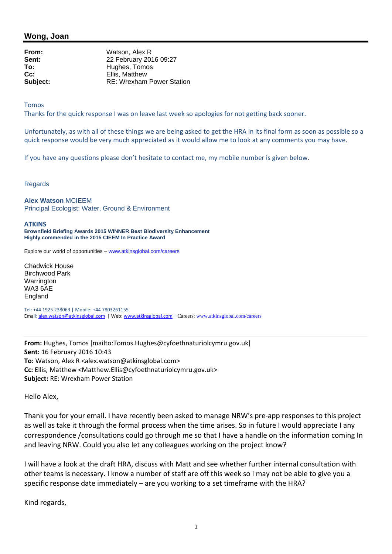**From:** Watson, Alex R **Sent:** 22 February 2016 09:27 To: **Hughes, Tomos Cc:** Ellis, Matthew **Subject:** RE: Wrexham Power Station

Tomos

Thanks for the quick response I was on leave last week so apologies for not getting back sooner.

Unfortunately, as with all of these things we are being asked to get the HRA in its final form as soon as possible so a quick response would be very much appreciated as it would allow me to look at any comments you may have.

If you have any questions please don't hesitate to contact me, my mobile number is given below.

Regards

#### **Alex Watson** MCIEEM

Principal Ecologist: Water, Ground & Environment

#### **ATKINS**

**Brownfield Briefing Awards 2015 WINNER Best Biodiversity Enhancement Highly commended in the 2015 CIEEM In Practice Award** 

Explore our world of opportunities – www.atkinsglobal.com/careers

Chadwick House Birchwood Park Warrington WA3 6AE England

Tel: +44 1925 238063 **|** Mobile: +44 7803261155 Email: alex.watson@atkinsglobal.com | Web: www.atkinsglobal.com | Careers: www.atkinsglobal.com/careers

**From:** Hughes, Tomos [mailto:Tomos.Hughes@cyfoethnaturiolcymru.gov.uk] **Sent:** 16 February 2016 10:43 To: Watson, Alex R <alex.watson@atkinsglobal.com> **Cc:** Ellis, Matthew <Matthew.Ellis@cyfoethnaturiolcymru.gov.uk> **Subject:** RE: Wrexham Power Station

Hello Alex,

Thank you for your email. I have recently been asked to manage NRW's pre‐app responses to this project as well as take it through the formal process when the time arises. So in future I would appreciate I any correspondence /consultations could go through me so that I have a handle on the information coming In and leaving NRW. Could you also let any colleagues working on the project know?

I will have a look at the draft HRA, discuss with Matt and see whether further internal consultation with other teams is necessary. I know a number of staff are off this week so I may not be able to give you a specific response date immediately – are you working to a set timeframe with the HRA?

Kind regards,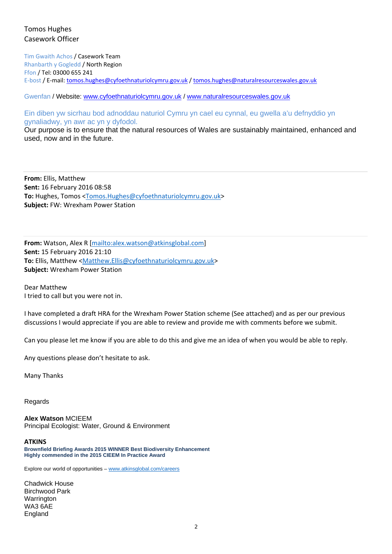## Tomos Hughes Casework Officer

Tim Gwaith Achos / Casework Team Rhanbarth y Gogledd / North Region Ffon / Tel: 03000 655 241 E-bost / E-mail: tomos.hughes@cyfoethnaturiolcymru.gov.uk / tomos.hughes@naturalresourceswales.gov.uk

Gwenfan / Website: www.cyfoethnaturiolcymru.gov.uk / www.naturalresourceswales.gov.uk

Ein diben yw sicrhau bod adnoddau naturiol Cymru yn cael eu cynnal, eu gwella a'u defnyddio yn gynaliadwy, yn awr ac yn y dyfodol.

Our purpose is to ensure that the natural resources of Wales are sustainably maintained, enhanced and used, now and in the future.

**From:** Ellis, Matthew **Sent:** 16 February 2016 08:58 **To:** Hughes, Tomos <Tomos.Hughes@cyfoethnaturiolcymru.gov.uk> **Subject:** FW: Wrexham Power Station

**From:** Watson, Alex R [mailto:alex.watson@atkinsglobal.com] **Sent:** 15 February 2016 21:10 **To:** Ellis, Matthew <Matthew.Ellis@cyfoethnaturiolcymru.gov.uk> **Subject:** Wrexham Power Station

Dear Matthew I tried to call but you were not in.

I have completed a draft HRA for the Wrexham Power Station scheme (See attached) and as per our previous discussions I would appreciate if you are able to review and provide me with comments before we submit.

Can you please let me know if you are able to do this and give me an idea of when you would be able to reply.

Any questions please don't hesitate to ask.

Many Thanks

Regards

**Alex Watson** MCIEEM Principal Ecologist: Water, Ground & Environment

#### **ATKINS**

**Brownfield Briefing Awards 2015 WINNER Best Biodiversity Enhancement Highly commended in the 2015 CIEEM In Practice Award** 

Explore our world of opportunities – www.atkinsglobal.com/careers

Chadwick House Birchwood Park Warrington WA3 6AE England